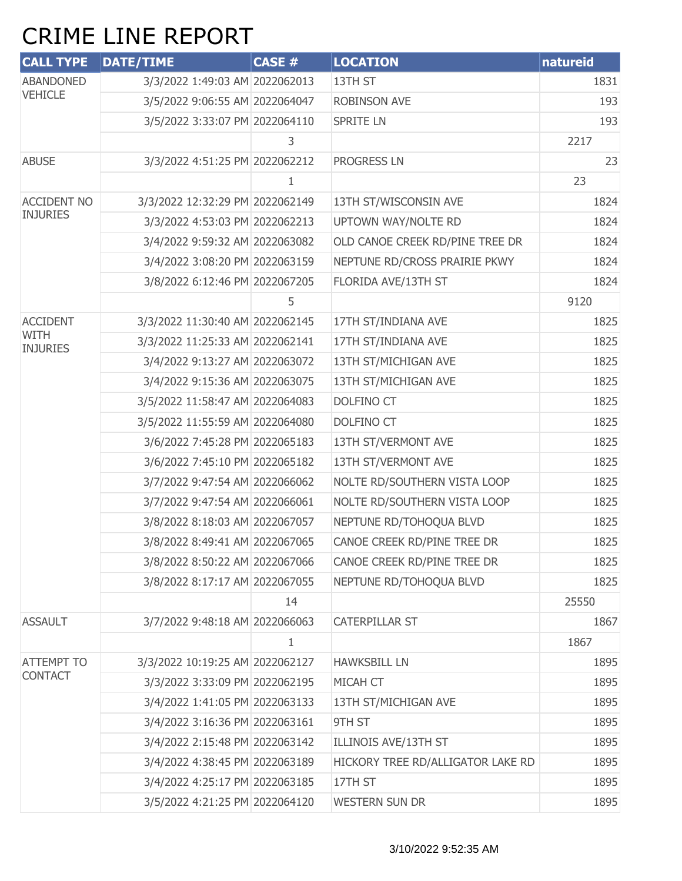## CRIME LINE REPORT

| <b>CALL TYPE</b>                   | <b>DATE/TIME</b>                | CASE # | <b>LOCATION</b>                   | natureid |
|------------------------------------|---------------------------------|--------|-----------------------------------|----------|
| <b>ABANDONED</b><br><b>VEHICLE</b> | 3/3/2022 1:49:03 AM 2022062013  |        | 13TH ST                           | 1831     |
|                                    | 3/5/2022 9:06:55 AM 2022064047  |        | <b>ROBINSON AVE</b>               | 193      |
|                                    | 3/5/2022 3:33:07 PM 2022064110  |        | <b>SPRITE LN</b>                  | 193      |
|                                    |                                 | 3      |                                   | 2217     |
| <b>ABUSE</b>                       | 3/3/2022 4:51:25 PM 2022062212  |        | PROGRESS LN                       | 23       |
|                                    |                                 | 1      |                                   | 23       |
| <b>ACCIDENT NO</b>                 | 3/3/2022 12:32:29 PM 2022062149 |        | 13TH ST/WISCONSIN AVE             | 1824     |
| <b>INJURIES</b>                    | 3/3/2022 4:53:03 PM 2022062213  |        | UPTOWN WAY/NOLTE RD               | 1824     |
|                                    | 3/4/2022 9:59:32 AM 2022063082  |        | OLD CANOE CREEK RD/PINE TREE DR   | 1824     |
|                                    | 3/4/2022 3:08:20 PM 2022063159  |        | NEPTUNE RD/CROSS PRAIRIE PKWY     | 1824     |
|                                    | 3/8/2022 6:12:46 PM 2022067205  |        | FLORIDA AVE/13TH ST               | 1824     |
|                                    |                                 | 5      |                                   | 9120     |
| <b>ACCIDENT</b>                    | 3/3/2022 11:30:40 AM 2022062145 |        | 17TH ST/INDIANA AVE               | 1825     |
| <b>WITH</b><br><b>INJURIES</b>     | 3/3/2022 11:25:33 AM 2022062141 |        | 17TH ST/INDIANA AVE               | 1825     |
|                                    | 3/4/2022 9:13:27 AM 2022063072  |        | 13TH ST/MICHIGAN AVE              | 1825     |
|                                    | 3/4/2022 9:15:36 AM 2022063075  |        | 13TH ST/MICHIGAN AVE              | 1825     |
|                                    | 3/5/2022 11:58:47 AM 2022064083 |        | DOLFINO CT                        | 1825     |
|                                    | 3/5/2022 11:55:59 AM 2022064080 |        | DOLFINO CT                        | 1825     |
|                                    | 3/6/2022 7:45:28 PM 2022065183  |        | 13TH ST/VERMONT AVE               | 1825     |
|                                    | 3/6/2022 7:45:10 PM 2022065182  |        | 13TH ST/VERMONT AVE               | 1825     |
|                                    | 3/7/2022 9:47:54 AM 2022066062  |        | NOLTE RD/SOUTHERN VISTA LOOP      | 1825     |
|                                    | 3/7/2022 9:47:54 AM 2022066061  |        | NOLTE RD/SOUTHERN VISTA LOOP      | 1825     |
|                                    | 3/8/2022 8:18:03 AM 2022067057  |        | NEPTUNE RD/TOHOQUA BLVD           | 1825     |
|                                    | 3/8/2022 8:49:41 AM 2022067065  |        | CANOE CREEK RD/PINE TREE DR       | 1825     |
|                                    | 3/8/2022 8:50:22 AM 2022067066  |        | CANOE CREEK RD/PINE TREE DR       | 1825     |
|                                    | 3/8/2022 8:17:17 AM 2022067055  |        | NEPTUNE RD/TOHOQUA BLVD           | 1825     |
|                                    |                                 | 14     |                                   | 25550    |
| <b>ASSAULT</b>                     | 3/7/2022 9:48:18 AM 2022066063  |        | CATERPILLAR ST                    | 1867     |
|                                    |                                 | 1      |                                   | 1867     |
| <b>ATTEMPT TO</b>                  | 3/3/2022 10:19:25 AM 2022062127 |        | <b>HAWKSBILL LN</b>               | 1895     |
| <b>CONTACT</b>                     | 3/3/2022 3:33:09 PM 2022062195  |        | MICAH CT                          | 1895     |
|                                    | 3/4/2022 1:41:05 PM 2022063133  |        | 13TH ST/MICHIGAN AVE              | 1895     |
|                                    | 3/4/2022 3:16:36 PM 2022063161  |        | 9TH ST                            | 1895     |
|                                    | 3/4/2022 2:15:48 PM 2022063142  |        | ILLINOIS AVE/13TH ST              | 1895     |
|                                    | 3/4/2022 4:38:45 PM 2022063189  |        | HICKORY TREE RD/ALLIGATOR LAKE RD | 1895     |
|                                    | 3/4/2022 4:25:17 PM 2022063185  |        | 17TH ST                           | 1895     |
|                                    | 3/5/2022 4:21:25 PM 2022064120  |        | WESTERN SUN DR                    | 1895     |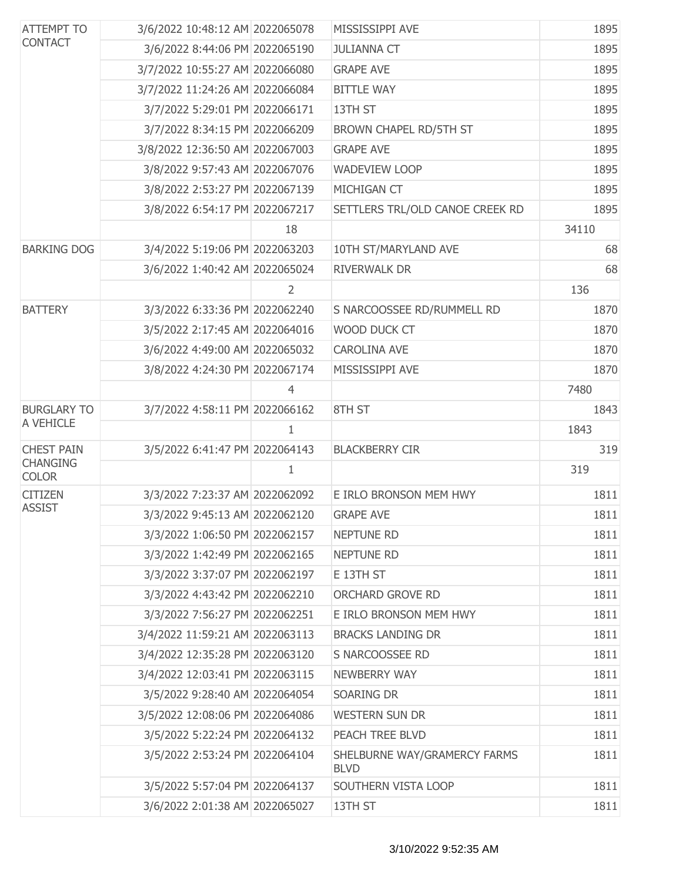| <b>ATTEMPT TO</b>               | 3/6/2022 10:48:12 AM 2022065078 |                | MISSISSIPPI AVE                             | 1895  |
|---------------------------------|---------------------------------|----------------|---------------------------------------------|-------|
| <b>CONTACT</b>                  | 3/6/2022 8:44:06 PM 2022065190  |                | <b>JULIANNA CT</b>                          | 1895  |
|                                 | 3/7/2022 10:55:27 AM 2022066080 |                | <b>GRAPE AVE</b>                            | 1895  |
|                                 | 3/7/2022 11:24:26 AM 2022066084 |                | <b>BITTLE WAY</b>                           | 1895  |
|                                 | 3/7/2022 5:29:01 PM 2022066171  |                | 13TH ST                                     | 1895  |
|                                 | 3/7/2022 8:34:15 PM 2022066209  |                | BROWN CHAPEL RD/5TH ST                      | 1895  |
|                                 | 3/8/2022 12:36:50 AM 2022067003 |                | <b>GRAPE AVE</b>                            | 1895  |
|                                 | 3/8/2022 9:57:43 AM 2022067076  |                | <b>WADEVIEW LOOP</b>                        | 1895  |
|                                 | 3/8/2022 2:53:27 PM 2022067139  |                | MICHIGAN CT                                 | 1895  |
|                                 | 3/8/2022 6:54:17 PM 2022067217  |                | SETTLERS TRL/OLD CANOE CREEK RD             | 1895  |
|                                 |                                 | 18             |                                             | 34110 |
| <b>BARKING DOG</b>              | 3/4/2022 5:19:06 PM 2022063203  |                | 10TH ST/MARYLAND AVE                        | 68    |
|                                 | 3/6/2022 1:40:42 AM 2022065024  |                | <b>RIVERWALK DR</b>                         | 68    |
|                                 |                                 | $\overline{2}$ |                                             | 136   |
| <b>BATTERY</b>                  | 3/3/2022 6:33:36 PM 2022062240  |                | S NARCOOSSEE RD/RUMMELL RD                  | 1870  |
|                                 | 3/5/2022 2:17:45 AM 2022064016  |                | WOOD DUCK CT                                | 1870  |
|                                 | 3/6/2022 4:49:00 AM 2022065032  |                | <b>CAROLINA AVE</b>                         | 1870  |
|                                 | 3/8/2022 4:24:30 PM 2022067174  |                | MISSISSIPPI AVE                             | 1870  |
|                                 |                                 | $\overline{4}$ |                                             | 7480  |
| <b>BURGLARY TO</b>              | 3/7/2022 4:58:11 PM 2022066162  |                | 8TH ST                                      | 1843  |
| A VEHICLE                       |                                 | 1              |                                             | 1843  |
| <b>CHEST PAIN</b>               | 3/5/2022 6:41:47 PM 2022064143  |                | <b>BLACKBERRY CIR</b>                       | 319   |
| <b>CHANGING</b><br><b>COLOR</b> |                                 | 1              |                                             | 319   |
| <b>CITIZEN</b>                  | 3/3/2022 7:23:37 AM 2022062092  |                | E IRLO BRONSON MEM HWY                      | 1811  |
| <b>ASSIST</b>                   | 3/3/2022 9:45:13 AM 2022062120  |                | <b>GRAPE AVE</b>                            | 1811  |
|                                 | 3/3/2022 1:06:50 PM 2022062157  |                | <b>NEPTUNE RD</b>                           | 1811  |
|                                 | 3/3/2022 1:42:49 PM 2022062165  |                | NEPTUNE RD                                  | 1811  |
|                                 | 3/3/2022 3:37:07 PM 2022062197  |                | E 13TH ST                                   | 1811  |
|                                 | 3/3/2022 4:43:42 PM 2022062210  |                | ORCHARD GROVE RD                            | 1811  |
|                                 | 3/3/2022 7:56:27 PM 2022062251  |                | E IRLO BRONSON MEM HWY                      | 1811  |
|                                 | 3/4/2022 11:59:21 AM 2022063113 |                | <b>BRACKS LANDING DR</b>                    | 1811  |
|                                 | 3/4/2022 12:35:28 PM 2022063120 |                | S NARCOOSSEE RD                             | 1811  |
|                                 | 3/4/2022 12:03:41 PM 2022063115 |                | NEWBERRY WAY                                | 1811  |
|                                 | 3/5/2022 9:28:40 AM 2022064054  |                | SOARING DR                                  | 1811  |
|                                 | 3/5/2022 12:08:06 PM 2022064086 |                | <b>WESTERN SUN DR</b>                       | 1811  |
|                                 | 3/5/2022 5:22:24 PM 2022064132  |                | PEACH TREE BLVD                             | 1811  |
|                                 | 3/5/2022 2:53:24 PM 2022064104  |                | SHELBURNE WAY/GRAMERCY FARMS<br><b>BLVD</b> | 1811  |
|                                 | 3/5/2022 5:57:04 PM 2022064137  |                | SOUTHERN VISTA LOOP                         | 1811  |
|                                 | 3/6/2022 2:01:38 AM 2022065027  |                | 13TH ST                                     | 1811  |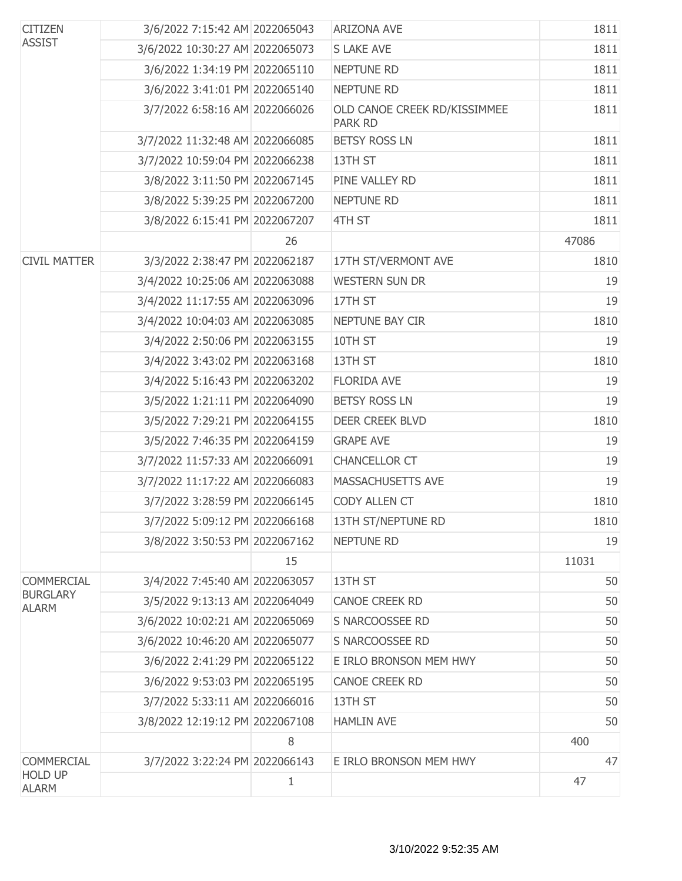| <b>CITIZEN</b><br><b>ASSIST</b> | 3/6/2022 7:15:42 AM 2022065043  |              | <b>ARIZONA AVE</b>                             | 1811  |
|---------------------------------|---------------------------------|--------------|------------------------------------------------|-------|
|                                 | 3/6/2022 10:30:27 AM 2022065073 |              | S LAKE AVE                                     | 1811  |
|                                 | 3/6/2022 1:34:19 PM 2022065110  |              | <b>NEPTUNE RD</b>                              | 1811  |
|                                 | 3/6/2022 3:41:01 PM 2022065140  |              | <b>NEPTUNE RD</b>                              | 1811  |
|                                 | 3/7/2022 6:58:16 AM 2022066026  |              | OLD CANOE CREEK RD/KISSIMMEE<br><b>PARK RD</b> | 1811  |
|                                 | 3/7/2022 11:32:48 AM 2022066085 |              | <b>BETSY ROSS LN</b>                           | 1811  |
|                                 | 3/7/2022 10:59:04 PM 2022066238 |              | 13TH ST                                        | 1811  |
|                                 | 3/8/2022 3:11:50 PM 2022067145  |              | PINE VALLEY RD                                 | 1811  |
|                                 | 3/8/2022 5:39:25 PM 2022067200  |              | <b>NEPTUNE RD</b>                              | 1811  |
|                                 | 3/8/2022 6:15:41 PM 2022067207  |              | 4TH ST                                         | 1811  |
|                                 |                                 | 26           |                                                | 47086 |
| <b>CIVIL MATTER</b>             | 3/3/2022 2:38:47 PM 2022062187  |              | 17TH ST/VERMONT AVE                            | 1810  |
|                                 | 3/4/2022 10:25:06 AM 2022063088 |              | <b>WESTERN SUN DR</b>                          | 19    |
|                                 | 3/4/2022 11:17:55 AM 2022063096 |              | 17TH ST                                        | 19    |
|                                 | 3/4/2022 10:04:03 AM 2022063085 |              | NEPTUNE BAY CIR                                | 1810  |
|                                 | 3/4/2022 2:50:06 PM 2022063155  |              | 10TH ST                                        | 19    |
|                                 | 3/4/2022 3:43:02 PM 2022063168  |              | 13TH ST                                        | 1810  |
|                                 | 3/4/2022 5:16:43 PM 2022063202  |              | <b>FLORIDA AVE</b>                             | 19    |
|                                 | 3/5/2022 1:21:11 PM 2022064090  |              | <b>BETSY ROSS LN</b>                           | 19    |
|                                 | 3/5/2022 7:29:21 PM 2022064155  |              | <b>DEER CREEK BLVD</b>                         | 1810  |
|                                 | 3/5/2022 7:46:35 PM 2022064159  |              | <b>GRAPE AVE</b>                               | 19    |
|                                 | 3/7/2022 11:57:33 AM 2022066091 |              | CHANCELLOR CT                                  | 19    |
|                                 | 3/7/2022 11:17:22 AM 2022066083 |              | <b>MASSACHUSETTS AVE</b>                       | 19    |
|                                 | 3/7/2022 3:28:59 PM 2022066145  |              | CODY ALLEN CT                                  | 1810  |
|                                 | 3/7/2022 5:09:12 PM 2022066168  |              | 13TH ST/NEPTUNE RD                             | 1810  |
|                                 | 3/8/2022 3:50:53 PM 2022067162  |              | <b>NEPTUNE RD</b>                              | 19    |
|                                 |                                 | 15           |                                                | 11031 |
| <b>COMMERCIAL</b>               | 3/4/2022 7:45:40 AM 2022063057  |              | 13TH ST                                        | 50    |
| <b>BURGLARY</b><br><b>ALARM</b> | 3/5/2022 9:13:13 AM 2022064049  |              | <b>CANOE CREEK RD</b>                          | 50    |
|                                 | 3/6/2022 10:02:21 AM 2022065069 |              | S NARCOOSSEE RD                                | 50    |
|                                 | 3/6/2022 10:46:20 AM 2022065077 |              | S NARCOOSSEE RD                                | 50    |
|                                 | 3/6/2022 2:41:29 PM 2022065122  |              | E IRLO BRONSON MEM HWY                         | 50    |
|                                 | 3/6/2022 9:53:03 PM 2022065195  |              | <b>CANOE CREEK RD</b>                          | 50    |
|                                 | 3/7/2022 5:33:11 AM 2022066016  |              | 13TH ST                                        | 50    |
|                                 | 3/8/2022 12:19:12 PM 2022067108 |              | <b>HAMLIN AVE</b>                              | 50    |
|                                 |                                 | 8            |                                                | 400   |
| <b>COMMERCIAL</b>               | 3/7/2022 3:22:24 PM 2022066143  |              | E IRLO BRONSON MEM HWY                         | 47    |
| <b>HOLD UP</b><br><b>ALARM</b>  |                                 | $\mathbf{1}$ |                                                | 47    |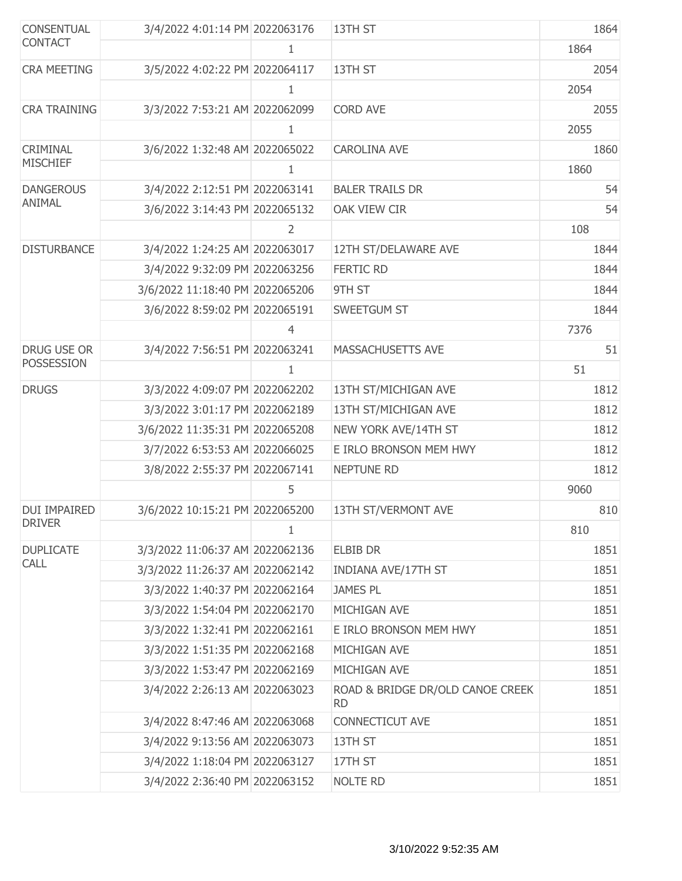| <b>CONSENTUAL</b>   | 3/4/2022 4:01:14 PM 2022063176  |                | 13TH ST                                       | 1864 |
|---------------------|---------------------------------|----------------|-----------------------------------------------|------|
| <b>CONTACT</b>      |                                 | 1              |                                               | 1864 |
| <b>CRA MEETING</b>  | 3/5/2022 4:02:22 PM 2022064117  |                | 13TH ST                                       | 2054 |
|                     |                                 | 1              |                                               | 2054 |
| <b>CRA TRAINING</b> | 3/3/2022 7:53:21 AM 2022062099  |                | <b>CORD AVE</b>                               | 2055 |
|                     |                                 | 1              |                                               | 2055 |
| CRIMINAL            | 3/6/2022 1:32:48 AM 2022065022  |                | <b>CAROLINA AVE</b>                           | 1860 |
| <b>MISCHIEF</b>     |                                 | 1              |                                               | 1860 |
| <b>DANGEROUS</b>    | 3/4/2022 2:12:51 PM 2022063141  |                | <b>BALER TRAILS DR</b>                        | 54   |
| ANIMAL              | 3/6/2022 3:14:43 PM 2022065132  |                | OAK VIEW CIR                                  | 54   |
|                     |                                 | 2              |                                               | 108  |
| <b>DISTURBANCE</b>  | 3/4/2022 1:24:25 AM 2022063017  |                | 12TH ST/DELAWARE AVE                          | 1844 |
|                     | 3/4/2022 9:32:09 PM 2022063256  |                | <b>FERTIC RD</b>                              | 1844 |
|                     | 3/6/2022 11:18:40 PM 2022065206 |                | 9TH ST                                        | 1844 |
|                     | 3/6/2022 8:59:02 PM 2022065191  |                | SWEETGUM ST                                   | 1844 |
|                     |                                 | $\overline{4}$ |                                               | 7376 |
| <b>DRUG USE OR</b>  | 3/4/2022 7:56:51 PM 2022063241  |                | MASSACHUSETTS AVE                             | 51   |
| <b>POSSESSION</b>   |                                 | 1              |                                               | 51   |
| <b>DRUGS</b>        | 3/3/2022 4:09:07 PM 2022062202  |                | 13TH ST/MICHIGAN AVE                          | 1812 |
|                     | 3/3/2022 3:01:17 PM 2022062189  |                | 13TH ST/MICHIGAN AVE                          | 1812 |
|                     | 3/6/2022 11:35:31 PM 2022065208 |                | NEW YORK AVE/14TH ST                          | 1812 |
|                     | 3/7/2022 6:53:53 AM 2022066025  |                | E IRLO BRONSON MEM HWY                        | 1812 |
|                     | 3/8/2022 2:55:37 PM 2022067141  |                | NEPTUNE RD                                    | 1812 |
|                     |                                 | 5              |                                               | 9060 |
| <b>DUI IMPAIRED</b> | 3/6/2022 10:15:21 PM 2022065200 |                | 13TH ST/VERMONT AVE                           | 810  |
| <b>DRIVER</b>       |                                 | $\mathbf{1}$   |                                               | 810  |
| <b>DUPLICATE</b>    | 3/3/2022 11:06:37 AM 2022062136 |                | ELBIB DR                                      | 1851 |
| <b>CALL</b>         | 3/3/2022 11:26:37 AM 2022062142 |                | INDIANA AVE/17TH ST                           | 1851 |
|                     | 3/3/2022 1:40:37 PM 2022062164  |                | <b>JAMES PL</b>                               | 1851 |
|                     | 3/3/2022 1:54:04 PM 2022062170  |                | MICHIGAN AVE                                  | 1851 |
|                     | 3/3/2022 1:32:41 PM 2022062161  |                | E IRLO BRONSON MEM HWY                        | 1851 |
|                     | 3/3/2022 1:51:35 PM 2022062168  |                | MICHIGAN AVE                                  | 1851 |
|                     | 3/3/2022 1:53:47 PM 2022062169  |                | MICHIGAN AVE                                  | 1851 |
|                     | 3/4/2022 2:26:13 AM 2022063023  |                | ROAD & BRIDGE DR/OLD CANOE CREEK<br><b>RD</b> | 1851 |
|                     | 3/4/2022 8:47:46 AM 2022063068  |                | <b>CONNECTICUT AVE</b>                        | 1851 |
|                     | 3/4/2022 9:13:56 AM 2022063073  |                | 13TH ST                                       | 1851 |
|                     | 3/4/2022 1:18:04 PM 2022063127  |                | 17TH ST                                       | 1851 |
|                     | 3/4/2022 2:36:40 PM 2022063152  |                | <b>NOLTE RD</b>                               | 1851 |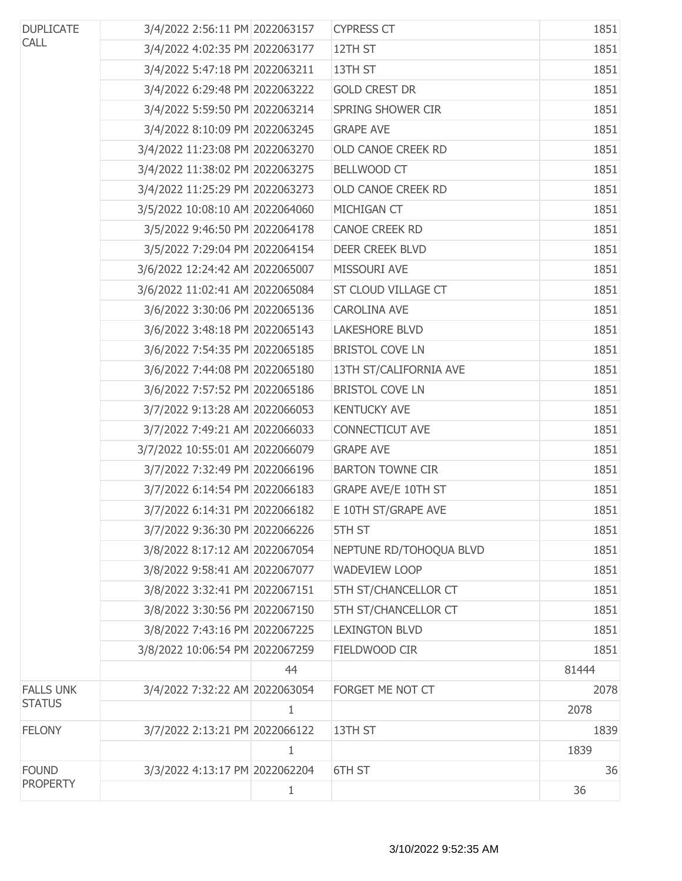| <b>DUPLICATE</b> | 3/4/2022 2:56:11 PM 2022063157  |    | <b>CYPRESS CT</b>          | 1851  |
|------------------|---------------------------------|----|----------------------------|-------|
| <b>CALL</b>      | 3/4/2022 4:02:35 PM 2022063177  |    | 12TH ST                    | 1851  |
|                  | 3/4/2022 5:47:18 PM 2022063211  |    | 13TH ST                    | 1851  |
|                  | 3/4/2022 6:29:48 PM 2022063222  |    | <b>GOLD CREST DR</b>       | 1851  |
|                  | 3/4/2022 5:59:50 PM 2022063214  |    | <b>SPRING SHOWER CIR</b>   | 1851  |
|                  | 3/4/2022 8:10:09 PM 2022063245  |    | <b>GRAPE AVE</b>           | 1851  |
|                  | 3/4/2022 11:23:08 PM 2022063270 |    | OLD CANOE CREEK RD         | 1851  |
|                  | 3/4/2022 11:38:02 PM 2022063275 |    | <b>BELLWOOD CT</b>         | 1851  |
|                  | 3/4/2022 11:25:29 PM 2022063273 |    | OLD CANOE CREEK RD         | 1851  |
|                  | 3/5/2022 10:08:10 AM 2022064060 |    | MICHIGAN CT                | 1851  |
|                  | 3/5/2022 9:46:50 PM 2022064178  |    | <b>CANOE CREEK RD</b>      | 1851  |
|                  | 3/5/2022 7:29:04 PM 2022064154  |    | <b>DEER CREEK BLVD</b>     | 1851  |
|                  | 3/6/2022 12:24:42 AM 2022065007 |    | MISSOURI AVE               | 1851  |
|                  | 3/6/2022 11:02:41 AM 2022065084 |    | ST CLOUD VILLAGE CT        | 1851  |
|                  | 3/6/2022 3:30:06 PM 2022065136  |    | <b>CAROLINA AVE</b>        | 1851  |
|                  | 3/6/2022 3:48:18 PM 2022065143  |    | <b>LAKESHORE BLVD</b>      | 1851  |
|                  | 3/6/2022 7:54:35 PM 2022065185  |    | <b>BRISTOL COVE LN</b>     | 1851  |
|                  | 3/6/2022 7:44:08 PM 2022065180  |    | 13TH ST/CALIFORNIA AVE     | 1851  |
|                  | 3/6/2022 7:57:52 PM 2022065186  |    | <b>BRISTOL COVE LN</b>     | 1851  |
|                  | 3/7/2022 9:13:28 AM 2022066053  |    | <b>KENTUCKY AVE</b>        | 1851  |
|                  | 3/7/2022 7:49:21 AM 2022066033  |    | <b>CONNECTICUT AVE</b>     | 1851  |
|                  | 3/7/2022 10:55:01 AM 2022066079 |    | <b>GRAPE AVE</b>           | 1851  |
|                  | 3/7/2022 7:32:49 PM 2022066196  |    | <b>BARTON TOWNE CIR</b>    | 1851  |
|                  | 3/7/2022 6:14:54 PM 2022066183  |    | <b>GRAPE AVE/E 10TH ST</b> | 1851  |
|                  | 3/7/2022 6:14:31 PM 2022066182  |    | E 10TH ST/GRAPE AVE        | 1851  |
|                  | 3/7/2022 9:36:30 PM 2022066226  |    | 5TH ST                     | 1851  |
|                  | 3/8/2022 8:17:12 AM 2022067054  |    | NEPTUNE RD/TOHOQUA BLVD    | 1851  |
|                  | 3/8/2022 9:58:41 AM 2022067077  |    | <b>WADEVIEW LOOP</b>       | 1851  |
|                  | 3/8/2022 3:32:41 PM 2022067151  |    | 5TH ST/CHANCELLOR CT       | 1851  |
|                  | 3/8/2022 3:30:56 PM 2022067150  |    | 5TH ST/CHANCELLOR CT       | 1851  |
|                  | 3/8/2022 7:43:16 PM 2022067225  |    | <b>LEXINGTON BLVD</b>      | 1851  |
|                  | 3/8/2022 10:06:54 PM 2022067259 |    | FIELDWOOD CIR              | 1851  |
|                  |                                 | 44 |                            | 81444 |
| <b>FALLS UNK</b> | 3/4/2022 7:32:22 AM 2022063054  |    | FORGET ME NOT CT           | 2078  |
| <b>STATUS</b>    |                                 | 1  |                            | 2078  |
| <b>FELONY</b>    | 3/7/2022 2:13:21 PM 2022066122  |    | 13TH ST                    | 1839  |
|                  |                                 | 1  |                            | 1839  |
| <b>FOUND</b>     | 3/3/2022 4:13:17 PM 2022062204  |    | 6TH ST                     | 36    |
| <b>PROPERTY</b>  |                                 | 1  |                            | 36    |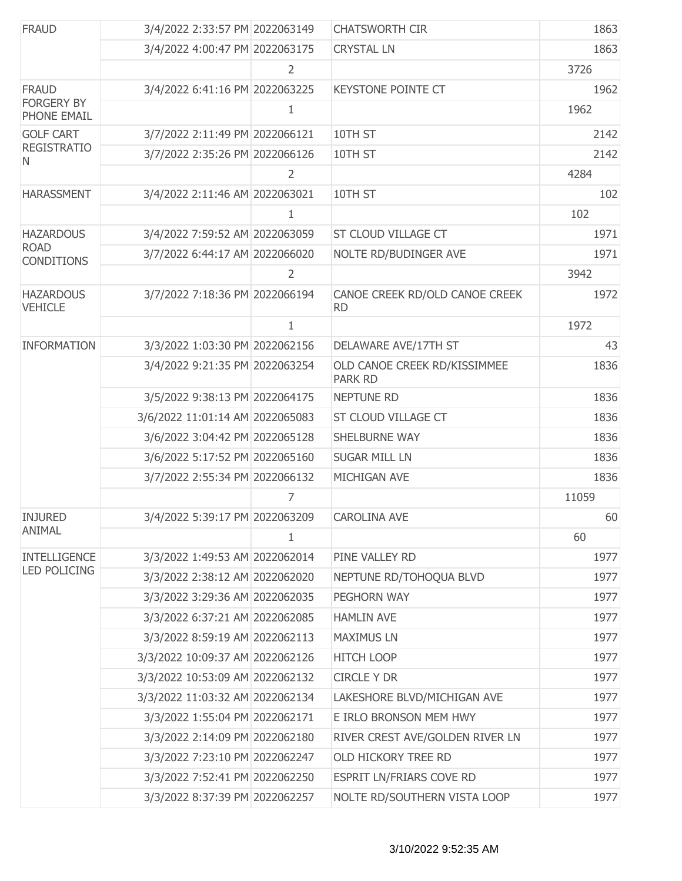| <b>FRAUD</b>                       | 3/4/2022 2:33:57 PM 2022063149  |               | <b>CHATSWORTH CIR</b>                          | 1863  |
|------------------------------------|---------------------------------|---------------|------------------------------------------------|-------|
|                                    | 3/4/2022 4:00:47 PM 2022063175  |               | <b>CRYSTAL LN</b>                              | 1863  |
|                                    |                                 | 2             |                                                | 3726  |
| <b>FRAUD</b>                       | 3/4/2022 6:41:16 PM 2022063225  |               | <b>KEYSTONE POINTE CT</b>                      | 1962  |
| <b>FORGERY BY</b><br>PHONE EMAIL   |                                 | 1             |                                                | 1962  |
| <b>GOLF CART</b>                   | 3/7/2022 2:11:49 PM 2022066121  |               | 10TH ST                                        | 2142  |
| <b>REGISTRATIO</b><br>N.           | 3/7/2022 2:35:26 PM 2022066126  |               | 10TH ST                                        | 2142  |
|                                    |                                 | $\mathcal{P}$ |                                                | 4284  |
| <b>HARASSMENT</b>                  | 3/4/2022 2:11:46 AM 2022063021  |               | 10TH ST                                        | 102   |
|                                    |                                 | 1             |                                                | 102   |
| <b>HAZARDOUS</b>                   | 3/4/2022 7:59:52 AM 2022063059  |               | ST CLOUD VILLAGE CT                            | 1971  |
| <b>ROAD</b><br><b>CONDITIONS</b>   | 3/7/2022 6:44:17 AM 2022066020  |               | NOLTE RD/BUDINGER AVE                          | 1971  |
|                                    |                                 | 2             |                                                | 3942  |
| <b>HAZARDOUS</b><br><b>VEHICLE</b> | 3/7/2022 7:18:36 PM 2022066194  |               | CANOE CREEK RD/OLD CANOE CREEK<br><b>RD</b>    | 1972  |
|                                    |                                 | $\mathbf{1}$  |                                                | 1972  |
| <b>INFORMATION</b>                 | 3/3/2022 1:03:30 PM 2022062156  |               | DELAWARE AVE/17TH ST                           | 43    |
|                                    | 3/4/2022 9:21:35 PM 2022063254  |               | OLD CANOE CREEK RD/KISSIMMEE<br><b>PARK RD</b> | 1836  |
|                                    | 3/5/2022 9:38:13 PM 2022064175  |               | <b>NEPTUNE RD</b>                              | 1836  |
|                                    | 3/6/2022 11:01:14 AM 2022065083 |               | ST CLOUD VILLAGE CT                            | 1836  |
|                                    | 3/6/2022 3:04:42 PM 2022065128  |               | SHELBURNE WAY                                  | 1836  |
|                                    | 3/6/2022 5:17:52 PM 2022065160  |               | <b>SUGAR MILL LN</b>                           | 1836  |
|                                    | 3/7/2022 2:55:34 PM 2022066132  |               | MICHIGAN AVE                                   | 1836  |
|                                    |                                 | 7             |                                                | 11059 |
| <b>INJURED</b>                     | 3/4/2022 5:39:17 PM 2022063209  |               | <b>CAROLINA AVE</b>                            | 60    |
| ANIMAL                             |                                 | 1             |                                                | 60    |
| <b>INTELLIGENCE</b>                | 3/3/2022 1:49:53 AM 2022062014  |               | PINE VALLEY RD                                 | 1977  |
| <b>LED POLICING</b>                | 3/3/2022 2:38:12 AM 2022062020  |               | NEPTUNE RD/TOHOQUA BLVD                        | 1977  |
|                                    | 3/3/2022 3:29:36 AM 2022062035  |               | PEGHORN WAY                                    | 1977  |
|                                    | 3/3/2022 6:37:21 AM 2022062085  |               | <b>HAMLIN AVE</b>                              | 1977  |
|                                    | 3/3/2022 8:59:19 AM 2022062113  |               | <b>MAXIMUS LN</b>                              | 1977  |
|                                    | 3/3/2022 10:09:37 AM 2022062126 |               | <b>HITCH LOOP</b>                              | 1977  |
|                                    | 3/3/2022 10:53:09 AM 2022062132 |               | <b>CIRCLE Y DR</b>                             | 1977  |
|                                    | 3/3/2022 11:03:32 AM 2022062134 |               | LAKESHORE BLVD/MICHIGAN AVE                    | 1977  |
|                                    | 3/3/2022 1:55:04 PM 2022062171  |               | E IRLO BRONSON MEM HWY                         | 1977  |
|                                    | 3/3/2022 2:14:09 PM 2022062180  |               | RIVER CREST AVE/GOLDEN RIVER LN                | 1977  |
|                                    | 3/3/2022 7:23:10 PM 2022062247  |               | OLD HICKORY TREE RD                            | 1977  |
|                                    | 3/3/2022 7:52:41 PM 2022062250  |               | ESPRIT LN/FRIARS COVE RD                       | 1977  |
|                                    | 3/3/2022 8:37:39 PM 2022062257  |               | NOLTE RD/SOUTHERN VISTA LOOP                   | 1977  |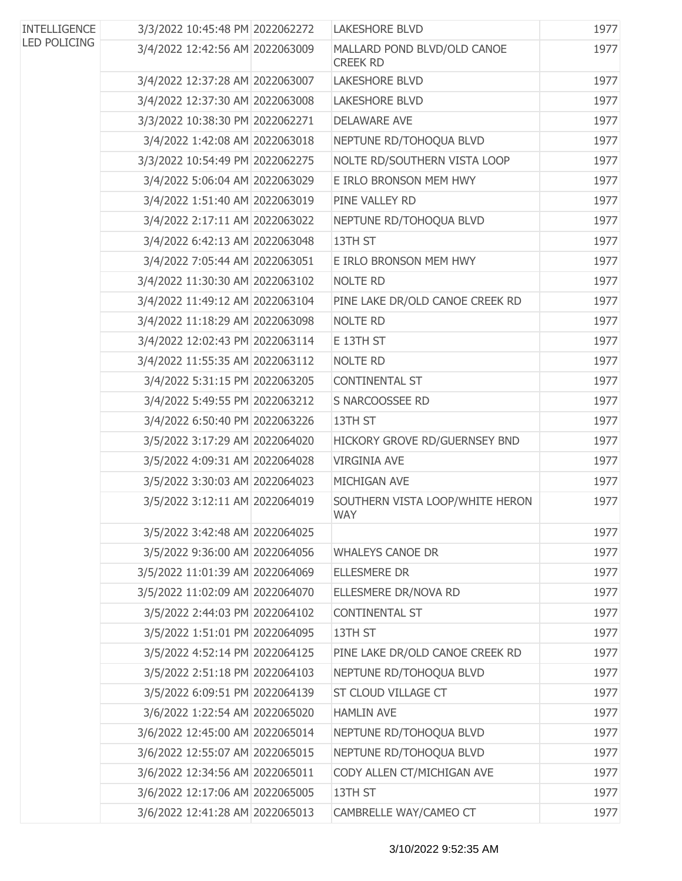| <b>INTELLIGENCE</b><br><b>LED POLICING</b> | 3/3/2022 10:45:48 PM 2022062272 | <b>LAKESHORE BLVD</b>                          | 1977 |
|--------------------------------------------|---------------------------------|------------------------------------------------|------|
|                                            | 3/4/2022 12:42:56 AM 2022063009 | MALLARD POND BLVD/OLD CANOE<br><b>CREEK RD</b> | 1977 |
|                                            | 3/4/2022 12:37:28 AM 2022063007 | <b>LAKESHORE BLVD</b>                          | 1977 |
|                                            | 3/4/2022 12:37:30 AM 2022063008 | <b>LAKESHORE BLVD</b>                          | 1977 |
|                                            | 3/3/2022 10:38:30 PM 2022062271 | <b>DELAWARE AVE</b>                            | 1977 |
|                                            | 3/4/2022 1:42:08 AM 2022063018  | NEPTUNE RD/TOHOQUA BLVD                        | 1977 |
|                                            | 3/3/2022 10:54:49 PM 2022062275 | NOLTE RD/SOUTHERN VISTA LOOP                   | 1977 |
|                                            | 3/4/2022 5:06:04 AM 2022063029  | E IRLO BRONSON MEM HWY                         | 1977 |
|                                            | 3/4/2022 1:51:40 AM 2022063019  | PINE VALLEY RD                                 | 1977 |
|                                            | 3/4/2022 2:17:11 AM 2022063022  | NEPTUNE RD/TOHOQUA BLVD                        | 1977 |
|                                            | 3/4/2022 6:42:13 AM 2022063048  | 13TH ST                                        | 1977 |
|                                            | 3/4/2022 7:05:44 AM 2022063051  | E IRLO BRONSON MEM HWY                         | 1977 |
|                                            | 3/4/2022 11:30:30 AM 2022063102 | <b>NOLTE RD</b>                                | 1977 |
|                                            | 3/4/2022 11:49:12 AM 2022063104 | PINE LAKE DR/OLD CANOE CREEK RD                | 1977 |
|                                            | 3/4/2022 11:18:29 AM 2022063098 | <b>NOLTE RD</b>                                | 1977 |
|                                            | 3/4/2022 12:02:43 PM 2022063114 | E 13TH ST                                      | 1977 |
|                                            | 3/4/2022 11:55:35 AM 2022063112 | <b>NOLTE RD</b>                                | 1977 |
|                                            | 3/4/2022 5:31:15 PM 2022063205  | <b>CONTINENTAL ST</b>                          | 1977 |
|                                            | 3/4/2022 5:49:55 PM 2022063212  | S NARCOOSSEE RD                                | 1977 |
|                                            | 3/4/2022 6:50:40 PM 2022063226  | 13TH ST                                        | 1977 |
|                                            | 3/5/2022 3:17:29 AM 2022064020  | HICKORY GROVE RD/GUERNSEY BND                  | 1977 |
|                                            | 3/5/2022 4:09:31 AM 2022064028  | <b>VIRGINIA AVE</b>                            | 1977 |
|                                            | 3/5/2022 3:30:03 AM 2022064023  | MICHIGAN AVE                                   | 1977 |
|                                            | 3/5/2022 3:12:11 AM 2022064019  | SOUTHERN VISTA LOOP/WHITE HERON<br><b>WAY</b>  | 1977 |
|                                            | 3/5/2022 3:42:48 AM 2022064025  |                                                | 1977 |
|                                            | 3/5/2022 9:36:00 AM 2022064056  | <b>WHALEYS CANOE DR</b>                        | 1977 |
|                                            | 3/5/2022 11:01:39 AM 2022064069 | <b>ELLESMERE DR</b>                            | 1977 |
|                                            | 3/5/2022 11:02:09 AM 2022064070 | ELLESMERE DR/NOVA RD                           | 1977 |
|                                            | 3/5/2022 2:44:03 PM 2022064102  | CONTINENTAL ST                                 | 1977 |
|                                            | 3/5/2022 1:51:01 PM 2022064095  | 13TH ST                                        | 1977 |
|                                            | 3/5/2022 4:52:14 PM 2022064125  | PINE LAKE DR/OLD CANOE CREEK RD                | 1977 |
|                                            | 3/5/2022 2:51:18 PM 2022064103  | NEPTUNE RD/TOHOQUA BLVD                        | 1977 |
|                                            | 3/5/2022 6:09:51 PM 2022064139  | ST CLOUD VILLAGE CT                            | 1977 |
|                                            | 3/6/2022 1:22:54 AM 2022065020  | <b>HAMLIN AVE</b>                              | 1977 |
|                                            | 3/6/2022 12:45:00 AM 2022065014 | NEPTUNE RD/TOHOQUA BLVD                        | 1977 |
|                                            | 3/6/2022 12:55:07 AM 2022065015 | NEPTUNE RD/TOHOQUA BLVD                        | 1977 |
|                                            | 3/6/2022 12:34:56 AM 2022065011 | CODY ALLEN CT/MICHIGAN AVE                     | 1977 |
|                                            | 3/6/2022 12:17:06 AM 2022065005 | 13TH ST                                        | 1977 |
|                                            | 3/6/2022 12:41:28 AM 2022065013 | CAMBRELLE WAY/CAMEO CT                         | 1977 |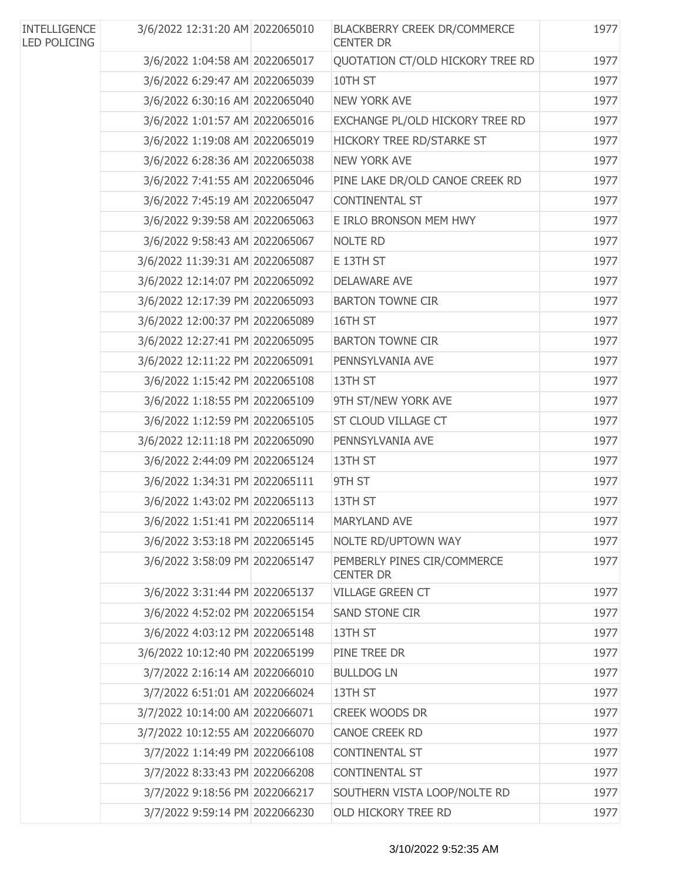| <b>INTELLIGENCE</b><br><b>LED POLICING</b> | 3/6/2022 12:31:20 AM 2022065010 | BLACKBERRY CREEK DR/COMMERCE<br><b>CENTER DR</b> | 1977 |
|--------------------------------------------|---------------------------------|--------------------------------------------------|------|
|                                            | 3/6/2022 1:04:58 AM 2022065017  | QUOTATION CT/OLD HICKORY TREE RD                 | 1977 |
|                                            | 3/6/2022 6:29:47 AM 2022065039  | 10TH ST                                          | 1977 |
|                                            | 3/6/2022 6:30:16 AM 2022065040  | <b>NEW YORK AVE</b>                              | 1977 |
|                                            | 3/6/2022 1:01:57 AM 2022065016  | EXCHANGE PL/OLD HICKORY TREE RD                  | 1977 |
|                                            | 3/6/2022 1:19:08 AM 2022065019  | HICKORY TREE RD/STARKE ST                        | 1977 |
|                                            | 3/6/2022 6:28:36 AM 2022065038  | <b>NEW YORK AVE</b>                              | 1977 |
|                                            | 3/6/2022 7:41:55 AM 2022065046  | PINE LAKE DR/OLD CANOE CREEK RD                  | 1977 |
|                                            | 3/6/2022 7:45:19 AM 2022065047  | <b>CONTINENTAL ST</b>                            | 1977 |
|                                            | 3/6/2022 9:39:58 AM 2022065063  | E IRLO BRONSON MEM HWY                           | 1977 |
|                                            | 3/6/2022 9:58:43 AM 2022065067  | <b>NOLTE RD</b>                                  | 1977 |
|                                            | 3/6/2022 11:39:31 AM 2022065087 | E 13TH ST                                        | 1977 |
|                                            | 3/6/2022 12:14:07 PM 2022065092 | <b>DELAWARE AVE</b>                              | 1977 |
|                                            | 3/6/2022 12:17:39 PM 2022065093 | <b>BARTON TOWNE CIR</b>                          | 1977 |
|                                            | 3/6/2022 12:00:37 PM 2022065089 | 16TH ST                                          | 1977 |
|                                            | 3/6/2022 12:27:41 PM 2022065095 | <b>BARTON TOWNE CIR</b>                          | 1977 |
|                                            | 3/6/2022 12:11:22 PM 2022065091 | PENNSYLVANIA AVE                                 | 1977 |
|                                            | 3/6/2022 1:15:42 PM 2022065108  | 13TH ST                                          | 1977 |
|                                            | 3/6/2022 1:18:55 PM 2022065109  | 9TH ST/NEW YORK AVE                              | 1977 |
|                                            | 3/6/2022 1:12:59 PM 2022065105  | ST CLOUD VILLAGE CT                              | 1977 |
|                                            | 3/6/2022 12:11:18 PM 2022065090 | PENNSYLVANIA AVE                                 | 1977 |
|                                            | 3/6/2022 2:44:09 PM 2022065124  | 13TH ST                                          | 1977 |
|                                            | 3/6/2022 1:34:31 PM 2022065111  | 9TH ST                                           | 1977 |
|                                            | 3/6/2022 1:43:02 PM 2022065113  | 13TH ST                                          | 1977 |
|                                            | 3/6/2022 1:51:41 PM 2022065114  | <b>MARYLAND AVE</b>                              | 1977 |
|                                            | 3/6/2022 3:53:18 PM 2022065145  | NOLTE RD/UPTOWN WAY                              | 1977 |
|                                            | 3/6/2022 3:58:09 PM 2022065147  | PEMBERLY PINES CIR/COMMERCE<br><b>CENTER DR</b>  | 1977 |
|                                            | 3/6/2022 3:31:44 PM 2022065137  | <b>VILLAGE GREEN CT</b>                          | 1977 |
|                                            | 3/6/2022 4:52:02 PM 2022065154  | SAND STONE CIR                                   | 1977 |
|                                            | 3/6/2022 4:03:12 PM 2022065148  | 13TH ST                                          | 1977 |
|                                            | 3/6/2022 10:12:40 PM 2022065199 | PINE TREE DR                                     | 1977 |
|                                            | 3/7/2022 2:16:14 AM 2022066010  | <b>BULLDOG LN</b>                                | 1977 |
|                                            | 3/7/2022 6:51:01 AM 2022066024  | 13TH ST                                          | 1977 |
|                                            | 3/7/2022 10:14:00 AM 2022066071 | <b>CREEK WOODS DR</b>                            | 1977 |
|                                            | 3/7/2022 10:12:55 AM 2022066070 | <b>CANOE CREEK RD</b>                            | 1977 |
|                                            | 3/7/2022 1:14:49 PM 2022066108  | <b>CONTINENTAL ST</b>                            | 1977 |
|                                            | 3/7/2022 8:33:43 PM 2022066208  | CONTINENTAL ST                                   | 1977 |
|                                            | 3/7/2022 9:18:56 PM 2022066217  | SOUTHERN VISTA LOOP/NOLTE RD                     | 1977 |
|                                            | 3/7/2022 9:59:14 PM 2022066230  | OLD HICKORY TREE RD                              | 1977 |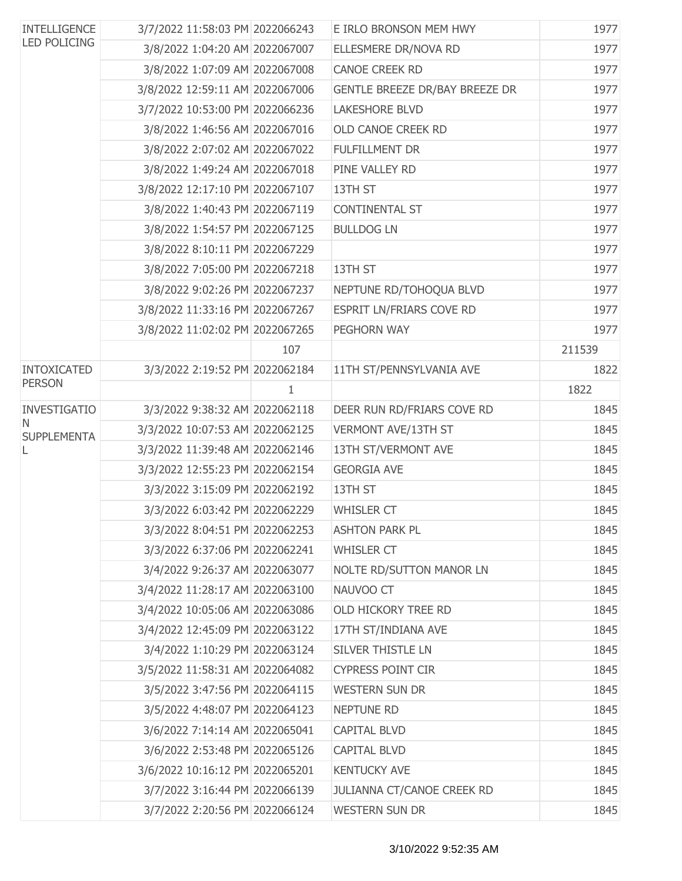| <b>INTELLIGENCE</b><br><b>LED POLICING</b> | 3/7/2022 11:58:03 PM 2022066243 |     | E IRLO BRONSON MEM HWY            | 1977   |
|--------------------------------------------|---------------------------------|-----|-----------------------------------|--------|
|                                            | 3/8/2022 1:04:20 AM 2022067007  |     | ELLESMERE DR/NOVA RD              | 1977   |
|                                            | 3/8/2022 1:07:09 AM 2022067008  |     | <b>CANOE CREEK RD</b>             | 1977   |
|                                            | 3/8/2022 12:59:11 AM 2022067006 |     | GENTLE BREEZE DR/BAY BREEZE DR    | 1977   |
|                                            | 3/7/2022 10:53:00 PM 2022066236 |     | <b>LAKESHORE BLVD</b>             | 1977   |
|                                            | 3/8/2022 1:46:56 AM 2022067016  |     | OLD CANOE CREEK RD                | 1977   |
|                                            | 3/8/2022 2:07:02 AM 2022067022  |     | <b>FULFILLMENT DR</b>             | 1977   |
|                                            | 3/8/2022 1:49:24 AM 2022067018  |     | PINE VALLEY RD                    | 1977   |
|                                            | 3/8/2022 12:17:10 PM 2022067107 |     | 13TH ST                           | 1977   |
|                                            | 3/8/2022 1:40:43 PM 2022067119  |     | <b>CONTINENTAL ST</b>             | 1977   |
|                                            | 3/8/2022 1:54:57 PM 2022067125  |     | <b>BULLDOG LN</b>                 | 1977   |
|                                            | 3/8/2022 8:10:11 PM 2022067229  |     |                                   | 1977   |
|                                            | 3/8/2022 7:05:00 PM 2022067218  |     | 13TH ST                           | 1977   |
|                                            | 3/8/2022 9:02:26 PM 2022067237  |     | NEPTUNE RD/TOHOQUA BLVD           | 1977   |
|                                            | 3/8/2022 11:33:16 PM 2022067267 |     | ESPRIT LN/FRIARS COVE RD          | 1977   |
|                                            | 3/8/2022 11:02:02 PM 2022067265 |     | PEGHORN WAY                       | 1977   |
|                                            |                                 | 107 |                                   | 211539 |
| <b>INTOXICATED</b>                         | 3/3/2022 2:19:52 PM 2022062184  |     | 11TH ST/PENNSYLVANIA AVE          | 1822   |
| <b>PERSON</b>                              |                                 | 1   |                                   | 1822   |
| <b>INVESTIGATIO</b>                        | 3/3/2022 9:38:32 AM 2022062118  |     | DEER RUN RD/FRIARS COVE RD        | 1845   |
| N<br><b>SUPPLEMENTA</b>                    | 3/3/2022 10:07:53 AM 2022062125 |     | VERMONT AVE/13TH ST               | 1845   |
| L                                          | 3/3/2022 11:39:48 AM 2022062146 |     | 13TH ST/VERMONT AVE               | 1845   |
|                                            | 3/3/2022 12:55:23 PM 2022062154 |     | <b>GEORGIA AVE</b>                | 1845   |
|                                            | 3/3/2022 3:15:09 PM 2022062192  |     | 13TH ST                           | 1845   |
|                                            | 3/3/2022 6:03:42 PM 2022062229  |     | <b>WHISLER CT</b>                 | 1845   |
|                                            | 3/3/2022 8:04:51 PM 2022062253  |     | <b>ASHTON PARK PL</b>             | 1845   |
|                                            | 3/3/2022 6:37:06 PM 2022062241  |     | <b>WHISLER CT</b>                 | 1845   |
|                                            | 3/4/2022 9:26:37 AM 2022063077  |     | NOLTE RD/SUTTON MANOR LN          | 1845   |
|                                            | 3/4/2022 11:28:17 AM 2022063100 |     | NAUVOO CT                         | 1845   |
|                                            | 3/4/2022 10:05:06 AM 2022063086 |     | OLD HICKORY TREE RD               | 1845   |
|                                            | 3/4/2022 12:45:09 PM 2022063122 |     | 17TH ST/INDIANA AVE               | 1845   |
|                                            | 3/4/2022 1:10:29 PM 2022063124  |     | SILVER THISTLE LN                 | 1845   |
|                                            | 3/5/2022 11:58:31 AM 2022064082 |     | <b>CYPRESS POINT CIR</b>          | 1845   |
|                                            | 3/5/2022 3:47:56 PM 2022064115  |     | <b>WESTERN SUN DR</b>             | 1845   |
|                                            | 3/5/2022 4:48:07 PM 2022064123  |     | NEPTUNE RD                        | 1845   |
|                                            | 3/6/2022 7:14:14 AM 2022065041  |     | CAPITAL BLVD                      | 1845   |
|                                            | 3/6/2022 2:53:48 PM 2022065126  |     | <b>CAPITAL BLVD</b>               | 1845   |
|                                            | 3/6/2022 10:16:12 PM 2022065201 |     | <b>KENTUCKY AVE</b>               | 1845   |
|                                            | 3/7/2022 3:16:44 PM 2022066139  |     | <b>JULIANNA CT/CANOE CREEK RD</b> | 1845   |
|                                            | 3/7/2022 2:20:56 PM 2022066124  |     | WESTERN SUN DR                    | 1845   |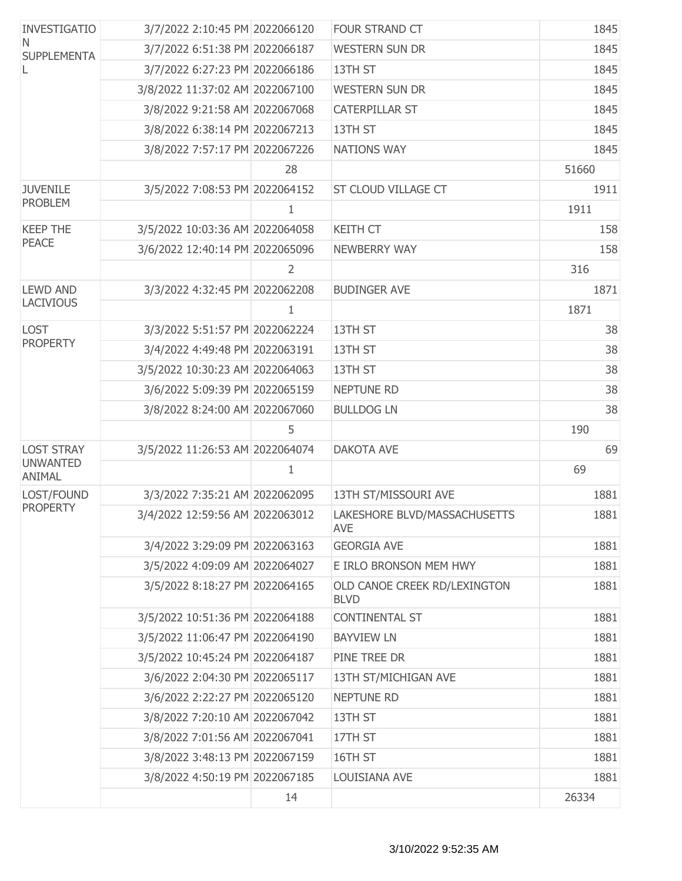| <b>INVESTIGATIO</b><br>N<br><b>SUPPLEMENTA</b><br>L | 3/7/2022 2:10:45 PM 2022066120  |    | FOUR STRAND CT                              | 1845  |
|-----------------------------------------------------|---------------------------------|----|---------------------------------------------|-------|
|                                                     | 3/7/2022 6:51:38 PM 2022066187  |    | <b>WESTERN SUN DR</b>                       | 1845  |
|                                                     | 3/7/2022 6:27:23 PM 2022066186  |    | 13TH ST                                     | 1845  |
|                                                     | 3/8/2022 11:37:02 AM 2022067100 |    | <b>WESTERN SUN DR</b>                       | 1845  |
|                                                     | 3/8/2022 9:21:58 AM 2022067068  |    | CATERPILLAR ST                              | 1845  |
|                                                     | 3/8/2022 6:38:14 PM 2022067213  |    | 13TH ST                                     | 1845  |
|                                                     | 3/8/2022 7:57:17 PM 2022067226  |    | <b>NATIONS WAY</b>                          | 1845  |
|                                                     |                                 | 28 |                                             | 51660 |
| <b>JUVENILE</b>                                     | 3/5/2022 7:08:53 PM 2022064152  |    | ST CLOUD VILLAGE CT                         | 1911  |
| <b>PROBLEM</b>                                      |                                 | 1  |                                             | 1911  |
| <b>KEEP THE</b>                                     | 3/5/2022 10:03:36 AM 2022064058 |    | <b>KEITH CT</b>                             | 158   |
| <b>PEACE</b>                                        | 3/6/2022 12:40:14 PM 2022065096 |    | <b>NEWBERRY WAY</b>                         | 158   |
|                                                     |                                 | 2  |                                             | 316   |
| <b>LEWD AND</b>                                     | 3/3/2022 4:32:45 PM 2022062208  |    | <b>BUDINGER AVE</b>                         | 1871  |
| <b>LACIVIOUS</b>                                    |                                 | 1  |                                             | 1871  |
| <b>LOST</b>                                         | 3/3/2022 5:51:57 PM 2022062224  |    | 13TH ST                                     | 38    |
| <b>PROPERTY</b>                                     | 3/4/2022 4:49:48 PM 2022063191  |    | 13TH ST                                     | 38    |
|                                                     | 3/5/2022 10:30:23 AM 2022064063 |    | 13TH ST                                     | 38    |
|                                                     | 3/6/2022 5:09:39 PM 2022065159  |    | <b>NEPTUNE RD</b>                           | 38    |
|                                                     | 3/8/2022 8:24:00 AM 2022067060  |    | <b>BULLDOG LN</b>                           | 38    |
|                                                     |                                 | 5  |                                             | 190   |
| <b>LOST STRAY</b>                                   | 3/5/2022 11:26:53 AM 2022064074 |    | <b>DAKOTA AVE</b>                           | 69    |
| <b>UNWANTED</b><br>ANIMAL                           |                                 | 1  |                                             | 69    |
| LOST/FOUND                                          | 3/3/2022 7:35:21 AM 2022062095  |    | 13TH ST/MISSOURI AVE                        | 1881  |
| <b>PROPERTY</b>                                     | 3/4/2022 12:59:56 AM 2022063012 |    | LAKESHORE BLVD/MASSACHUSETTS<br><b>AVE</b>  | 1881  |
|                                                     | 3/4/2022 3:29:09 PM 2022063163  |    | <b>GEORGIA AVE</b>                          | 1881  |
|                                                     | 3/5/2022 4:09:09 AM 2022064027  |    | E IRLO BRONSON MEM HWY                      | 1881  |
|                                                     | 3/5/2022 8:18:27 PM 2022064165  |    | OLD CANOE CREEK RD/LEXINGTON<br><b>BLVD</b> | 1881  |
|                                                     | 3/5/2022 10:51:36 PM 2022064188 |    | <b>CONTINENTAL ST</b>                       | 1881  |
|                                                     | 3/5/2022 11:06:47 PM 2022064190 |    | <b>BAYVIEW LN</b>                           | 1881  |
|                                                     | 3/5/2022 10:45:24 PM 2022064187 |    | PINE TREE DR                                | 1881  |
|                                                     | 3/6/2022 2:04:30 PM 2022065117  |    | 13TH ST/MICHIGAN AVE                        | 1881  |
|                                                     | 3/6/2022 2:22:27 PM 2022065120  |    | <b>NEPTUNE RD</b>                           | 1881  |
|                                                     | 3/8/2022 7:20:10 AM 2022067042  |    | 13TH ST                                     | 1881  |
|                                                     | 3/8/2022 7:01:56 AM 2022067041  |    | 17TH ST                                     | 1881  |
|                                                     | 3/8/2022 3:48:13 PM 2022067159  |    | 16TH ST                                     | 1881  |
|                                                     | 3/8/2022 4:50:19 PM 2022067185  |    | LOUISIANA AVE                               | 1881  |
|                                                     |                                 | 14 |                                             | 26334 |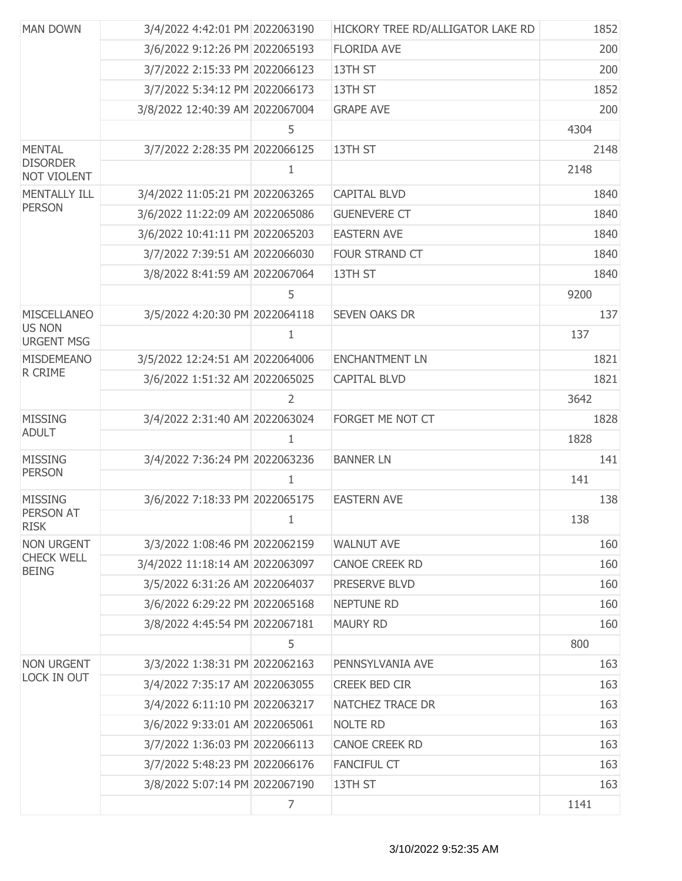| <b>MAN DOWN</b>                      | 3/4/2022 4:42:01 PM 2022063190  |              | HICKORY TREE RD/ALLIGATOR LAKE RD | 1852 |
|--------------------------------------|---------------------------------|--------------|-----------------------------------|------|
|                                      | 3/6/2022 9:12:26 PM 2022065193  |              | <b>FLORIDA AVE</b>                | 200  |
|                                      | 3/7/2022 2:15:33 PM 2022066123  |              | 13TH ST                           | 200  |
|                                      | 3/7/2022 5:34:12 PM 2022066173  |              | 13TH ST                           | 1852 |
|                                      | 3/8/2022 12:40:39 AM 2022067004 |              | <b>GRAPE AVE</b>                  | 200  |
|                                      |                                 | 5            |                                   | 4304 |
| <b>MENTAL</b>                        | 3/7/2022 2:28:35 PM 2022066125  |              | 13TH ST                           | 2148 |
| <b>DISORDER</b><br>NOT VIOLENT       |                                 | 1            |                                   | 2148 |
| <b>MENTALLY ILL</b><br><b>PERSON</b> | 3/4/2022 11:05:21 PM 2022063265 |              | <b>CAPITAL BLVD</b>               | 1840 |
|                                      | 3/6/2022 11:22:09 AM 2022065086 |              | <b>GUENEVERE CT</b>               | 1840 |
|                                      | 3/6/2022 10:41:11 PM 2022065203 |              | <b>EASTERN AVE</b>                | 1840 |
|                                      | 3/7/2022 7:39:51 AM 2022066030  |              | FOUR STRAND CT                    | 1840 |
|                                      | 3/8/2022 8:41:59 AM 2022067064  |              | 13TH ST                           | 1840 |
|                                      |                                 | 5            |                                   | 9200 |
| <b>MISCELLANEO</b>                   | 3/5/2022 4:20:30 PM 2022064118  |              | <b>SEVEN OAKS DR</b>              | 137  |
| <b>US NON</b><br><b>URGENT MSG</b>   |                                 | 1            |                                   | 137  |
| <b>MISDEMEANO</b>                    | 3/5/2022 12:24:51 AM 2022064006 |              | <b>ENCHANTMENT LN</b>             | 1821 |
| R CRIME                              | 3/6/2022 1:51:32 AM 2022065025  |              | <b>CAPITAL BLVD</b>               | 1821 |
|                                      |                                 | 2            |                                   | 3642 |
| <b>MISSING</b>                       | 3/4/2022 2:31:40 AM 2022063024  |              | FORGET ME NOT CT                  | 1828 |
| <b>ADULT</b>                         |                                 | $\mathbf{1}$ |                                   | 1828 |
| <b>MISSING</b>                       | 3/4/2022 7:36:24 PM 2022063236  |              | <b>BANNER LN</b>                  | 141  |
| <b>PERSON</b>                        |                                 | 1            |                                   | 141  |
| <b>MISSING</b>                       | 3/6/2022 7:18:33 PM 2022065175  |              | <b>EASTERN AVE</b>                | 138  |
| PERSON AT<br><b>RISK</b>             |                                 | 1            |                                   | 138  |
| <b>NON URGENT</b>                    | 3/3/2022 1:08:46 PM 2022062159  |              | <b>WALNUT AVE</b>                 | 160  |
| <b>CHECK WELL</b><br><b>BEING</b>    | 3/4/2022 11:18:14 AM 2022063097 |              | <b>CANOE CREEK RD</b>             | 160  |
|                                      | 3/5/2022 6:31:26 AM 2022064037  |              | PRESERVE BLVD                     | 160  |
|                                      | 3/6/2022 6:29:22 PM 2022065168  |              | <b>NEPTUNE RD</b>                 | 160  |
|                                      | 3/8/2022 4:45:54 PM 2022067181  |              | <b>MAURY RD</b>                   | 160  |
|                                      |                                 | 5            |                                   | 800  |
| <b>NON URGENT</b>                    | 3/3/2022 1:38:31 PM 2022062163  |              | PENNSYLVANIA AVE                  | 163  |
| LOCK IN OUT                          | 3/4/2022 7:35:17 AM 2022063055  |              | <b>CREEK BED CIR</b>              | 163  |
|                                      | 3/4/2022 6:11:10 PM 2022063217  |              | NATCHEZ TRACE DR                  | 163  |
|                                      | 3/6/2022 9:33:01 AM 2022065061  |              | <b>NOLTE RD</b>                   | 163  |
|                                      | 3/7/2022 1:36:03 PM 2022066113  |              | <b>CANOE CREEK RD</b>             | 163  |
|                                      | 3/7/2022 5:48:23 PM 2022066176  |              | <b>FANCIFUL CT</b>                | 163  |
|                                      | 3/8/2022 5:07:14 PM 2022067190  |              | 13TH ST                           | 163  |
|                                      |                                 | 7            |                                   | 1141 |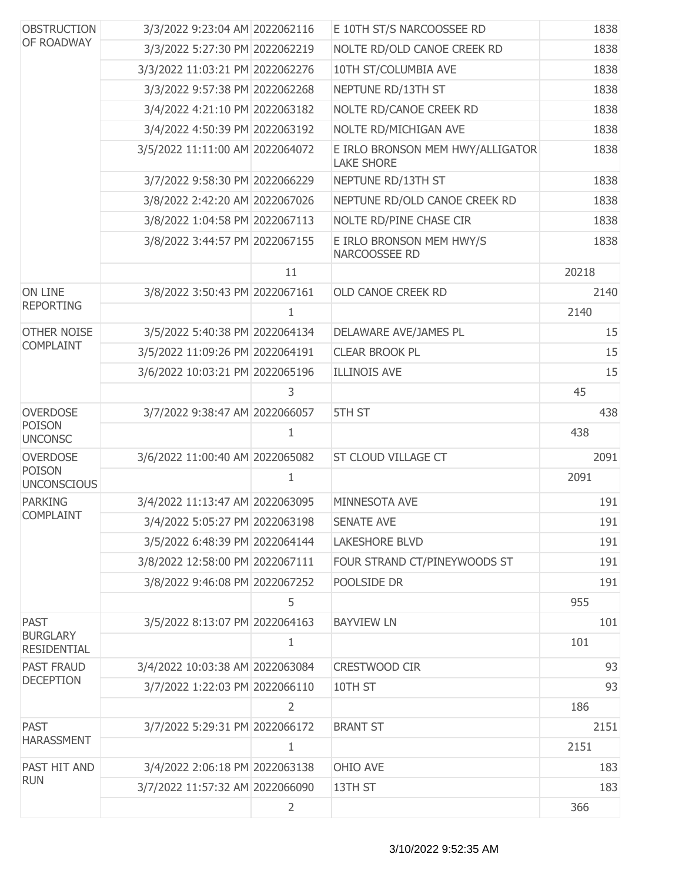| <b>OBSTRUCTION</b>                    | 3/3/2022 9:23:04 AM 2022062116  |                | E 10TH ST/S NARCOOSSEE RD                             | 1838  |
|---------------------------------------|---------------------------------|----------------|-------------------------------------------------------|-------|
| OF ROADWAY                            | 3/3/2022 5:27:30 PM 2022062219  |                | NOLTE RD/OLD CANOE CREEK RD                           | 1838  |
|                                       | 3/3/2022 11:03:21 PM 2022062276 |                | 10TH ST/COLUMBIA AVE                                  | 1838  |
|                                       | 3/3/2022 9:57:38 PM 2022062268  |                | NEPTUNE RD/13TH ST                                    | 1838  |
|                                       | 3/4/2022 4:21:10 PM 2022063182  |                | NOLTE RD/CANOE CREEK RD                               | 1838  |
|                                       | 3/4/2022 4:50:39 PM 2022063192  |                | NOLTE RD/MICHIGAN AVE                                 | 1838  |
|                                       | 3/5/2022 11:11:00 AM 2022064072 |                | E IRLO BRONSON MEM HWY/ALLIGATOR<br><b>LAKE SHORE</b> | 1838  |
|                                       | 3/7/2022 9:58:30 PM 2022066229  |                | NEPTUNE RD/13TH ST                                    | 1838  |
|                                       | 3/8/2022 2:42:20 AM 2022067026  |                | NEPTUNE RD/OLD CANOE CREEK RD                         | 1838  |
|                                       | 3/8/2022 1:04:58 PM 2022067113  |                | NOLTE RD/PINE CHASE CIR                               | 1838  |
|                                       | 3/8/2022 3:44:57 PM 2022067155  |                | E IRLO BRONSON MEM HWY/S<br>NARCOOSSEE RD             | 1838  |
|                                       |                                 | 11             |                                                       | 20218 |
| <b>ON LINE</b>                        | 3/8/2022 3:50:43 PM 2022067161  |                | OLD CANOE CREEK RD                                    | 2140  |
| <b>REPORTING</b>                      |                                 | $\mathbf{1}$   |                                                       | 2140  |
| <b>OTHER NOISE</b>                    | 3/5/2022 5:40:38 PM 2022064134  |                | DELAWARE AVE/JAMES PL                                 | 15    |
| <b>COMPLAINT</b>                      | 3/5/2022 11:09:26 PM 2022064191 |                | <b>CLEAR BROOK PL</b>                                 | 15    |
|                                       | 3/6/2022 10:03:21 PM 2022065196 |                | <b>ILLINOIS AVE</b>                                   | 15    |
|                                       |                                 | 3              |                                                       | 45    |
| <b>OVERDOSE</b>                       | 3/7/2022 9:38:47 AM 2022066057  |                | 5TH ST                                                | 438   |
| <b>POISON</b><br><b>UNCONSC</b>       |                                 | $\mathbf{1}$   |                                                       | 438   |
| <b>OVERDOSE</b>                       | 3/6/2022 11:00:40 AM 2022065082 |                | ST CLOUD VILLAGE CT                                   | 2091  |
| <b>POISON</b><br><b>UNCONSCIOUS</b>   |                                 | 1              |                                                       | 2091  |
| <b>PARKING</b>                        | 3/4/2022 11:13:47 AM 2022063095 |                | MINNESOTA AVE                                         | 191   |
| <b>COMPLAINT</b>                      | 3/4/2022 5:05:27 PM 2022063198  |                | <b>SENATE AVE</b>                                     | 191   |
|                                       | 3/5/2022 6:48:39 PM 2022064144  |                | <b>LAKESHORE BLVD</b>                                 | 191   |
|                                       | 3/8/2022 12:58:00 PM 2022067111 |                | FOUR STRAND CT/PINEYWOODS ST                          | 191   |
|                                       | 3/8/2022 9:46:08 PM 2022067252  |                | POOLSIDE DR                                           | 191   |
|                                       |                                 | 5              |                                                       | 955   |
| <b>PAST</b>                           | 3/5/2022 8:13:07 PM 2022064163  |                | <b>BAYVIEW LN</b>                                     | 101   |
| <b>BURGLARY</b><br><b>RESIDENTIAL</b> |                                 | $\mathbf{1}$   |                                                       | 101   |
| <b>PAST FRAUD</b>                     | 3/4/2022 10:03:38 AM 2022063084 |                | CRESTWOOD CIR                                         | 93    |
| <b>DECEPTION</b>                      | 3/7/2022 1:22:03 PM 2022066110  |                | 10TH ST                                               | 93    |
|                                       |                                 | $\overline{2}$ |                                                       | 186   |
| <b>PAST</b>                           | 3/7/2022 5:29:31 PM 2022066172  |                | <b>BRANT ST</b>                                       | 2151  |
| <b>HARASSMENT</b>                     |                                 | 1              |                                                       | 2151  |
| PAST HIT AND                          | 3/4/2022 2:06:18 PM 2022063138  |                | <b>OHIO AVE</b>                                       | 183   |
| <b>RUN</b>                            | 3/7/2022 11:57:32 AM 2022066090 |                | 13TH ST                                               | 183   |
|                                       |                                 | $\overline{2}$ |                                                       | 366   |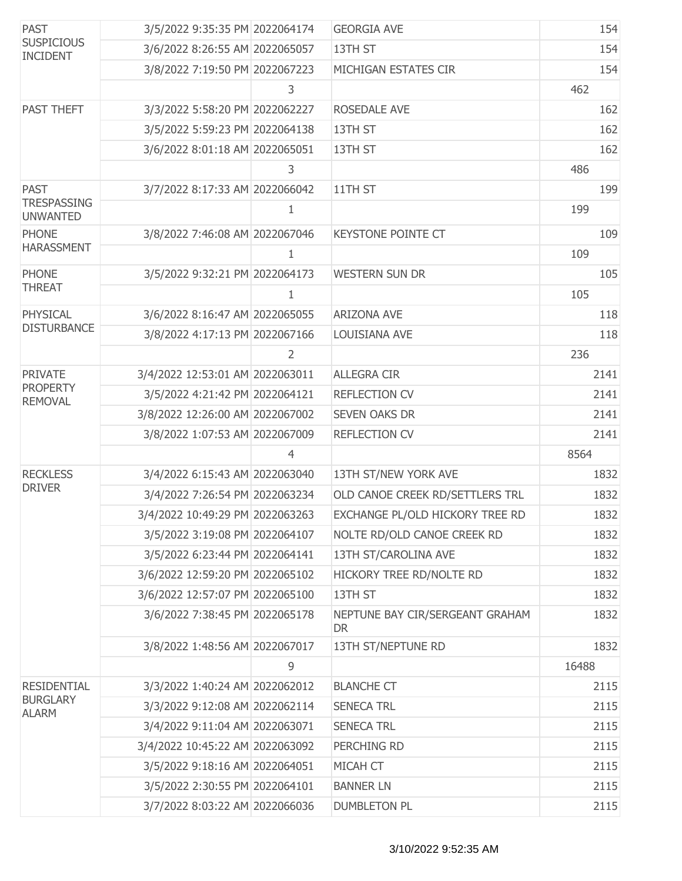| <b>PAST</b><br><b>SUSPICIOUS</b><br><b>INCIDENT</b> | 3/5/2022 9:35:35 PM 2022064174  |   | <b>GEORGIA AVE</b>                           | 154   |
|-----------------------------------------------------|---------------------------------|---|----------------------------------------------|-------|
|                                                     | 3/6/2022 8:26:55 AM 2022065057  |   | 13TH ST                                      | 154   |
|                                                     | 3/8/2022 7:19:50 PM 2022067223  |   | MICHIGAN ESTATES CIR                         | 154   |
|                                                     |                                 | 3 |                                              | 462   |
| <b>PAST THEFT</b>                                   | 3/3/2022 5:58:20 PM 2022062227  |   | ROSEDALE AVE                                 | 162   |
|                                                     | 3/5/2022 5:59:23 PM 2022064138  |   | 13TH ST                                      | 162   |
|                                                     | 3/6/2022 8:01:18 AM 2022065051  |   | 13TH ST                                      | 162   |
|                                                     |                                 | 3 |                                              | 486   |
| <b>PAST</b>                                         | 3/7/2022 8:17:33 AM 2022066042  |   | 11TH ST                                      | 199   |
| <b>TRESPASSING</b><br><b>UNWANTED</b>               |                                 | 1 |                                              | 199   |
| <b>PHONE</b>                                        | 3/8/2022 7:46:08 AM 2022067046  |   | <b>KEYSTONE POINTE CT</b>                    | 109   |
| <b>HARASSMENT</b>                                   |                                 | 1 |                                              | 109   |
| <b>PHONE</b>                                        | 3/5/2022 9:32:21 PM 2022064173  |   | <b>WESTERN SUN DR</b>                        | 105   |
| <b>THREAT</b>                                       |                                 | 1 |                                              | 105   |
| PHYSICAL                                            | 3/6/2022 8:16:47 AM 2022065055  |   | <b>ARIZONA AVE</b>                           | 118   |
| <b>DISTURBANCE</b>                                  | 3/8/2022 4:17:13 PM 2022067166  |   | LOUISIANA AVE                                | 118   |
|                                                     |                                 | 2 |                                              | 236   |
| <b>PRIVATE</b>                                      | 3/4/2022 12:53:01 AM 2022063011 |   | <b>ALLEGRA CIR</b>                           | 2141  |
| <b>PROPERTY</b><br><b>REMOVAL</b>                   | 3/5/2022 4:21:42 PM 2022064121  |   | <b>REFLECTION CV</b>                         | 2141  |
|                                                     | 3/8/2022 12:26:00 AM 2022067002 |   | <b>SEVEN OAKS DR</b>                         | 2141  |
|                                                     | 3/8/2022 1:07:53 AM 2022067009  |   | <b>REFLECTION CV</b>                         | 2141  |
|                                                     |                                 | 4 |                                              | 8564  |
| <b>RECKLESS</b>                                     | 3/4/2022 6:15:43 AM 2022063040  |   | 13TH ST/NEW YORK AVE                         | 1832  |
| <b>DRIVER</b>                                       | 3/4/2022 7:26:54 PM 2022063234  |   | OLD CANOE CREEK RD/SETTLERS TRL              | 1832  |
|                                                     | 3/4/2022 10:49:29 PM 2022063263 |   | EXCHANGE PL/OLD HICKORY TREE RD              | 1832  |
|                                                     | 3/5/2022 3:19:08 PM 2022064107  |   | NOLTE RD/OLD CANOE CREEK RD                  | 1832  |
|                                                     | 3/5/2022 6:23:44 PM 2022064141  |   | 13TH ST/CAROLINA AVE                         | 1832  |
|                                                     | 3/6/2022 12:59:20 PM 2022065102 |   | HICKORY TREE RD/NOLTE RD                     | 1832  |
|                                                     | 3/6/2022 12:57:07 PM 2022065100 |   | 13TH ST                                      | 1832  |
|                                                     | 3/6/2022 7:38:45 PM 2022065178  |   | NEPTUNE BAY CIR/SERGEANT GRAHAM<br><b>DR</b> | 1832  |
|                                                     | 3/8/2022 1:48:56 AM 2022067017  |   | 13TH ST/NEPTUNE RD                           | 1832  |
|                                                     |                                 | 9 |                                              | 16488 |
| <b>RESIDENTIAL</b>                                  | 3/3/2022 1:40:24 AM 2022062012  |   | <b>BLANCHE CT</b>                            | 2115  |
| <b>BURGLARY</b><br><b>ALARM</b>                     | 3/3/2022 9:12:08 AM 2022062114  |   | <b>SENECA TRL</b>                            | 2115  |
|                                                     | 3/4/2022 9:11:04 AM 2022063071  |   | <b>SENECA TRL</b>                            | 2115  |
|                                                     | 3/4/2022 10:45:22 AM 2022063092 |   | PERCHING RD                                  | 2115  |
|                                                     | 3/5/2022 9:18:16 AM 2022064051  |   | MICAH CT                                     | 2115  |
|                                                     | 3/5/2022 2:30:55 PM 2022064101  |   | <b>BANNER LN</b>                             | 2115  |
|                                                     | 3/7/2022 8:03:22 AM 2022066036  |   | <b>DUMBLETON PL</b>                          | 2115  |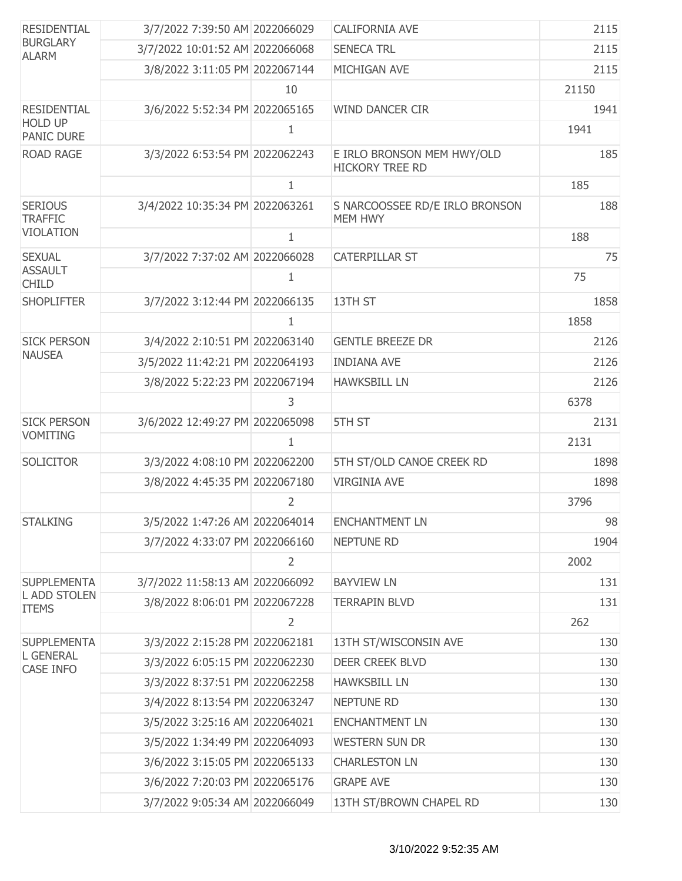| <b>RESIDENTIAL</b><br><b>BURGLARY</b><br><b>ALARM</b> | 3/7/2022 7:39:50 AM 2022066029  |                | <b>CALIFORNIA AVE</b>                                | 2115  |
|-------------------------------------------------------|---------------------------------|----------------|------------------------------------------------------|-------|
|                                                       | 3/7/2022 10:01:52 AM 2022066068 |                | <b>SENECA TRL</b>                                    | 2115  |
|                                                       | 3/8/2022 3:11:05 PM 2022067144  |                | MICHIGAN AVE                                         | 2115  |
|                                                       |                                 | 10             |                                                      | 21150 |
| <b>RESIDENTIAL</b>                                    | 3/6/2022 5:52:34 PM 2022065165  |                | <b>WIND DANCER CIR</b>                               | 1941  |
| <b>HOLD UP</b><br><b>PANIC DURE</b>                   |                                 | 1              |                                                      | 1941  |
| <b>ROAD RAGE</b>                                      | 3/3/2022 6:53:54 PM 2022062243  |                | E IRLO BRONSON MEM HWY/OLD<br><b>HICKORY TREE RD</b> | 185   |
|                                                       |                                 | $\mathbf{1}$   |                                                      | 185   |
| <b>SERIOUS</b><br><b>TRAFFIC</b>                      | 3/4/2022 10:35:34 PM 2022063261 |                | S NARCOOSSEE RD/E IRLO BRONSON<br>MEM HWY            | 188   |
| <b>VIOLATION</b>                                      |                                 | $\mathbf{1}$   |                                                      | 188   |
| <b>SEXUAL</b>                                         | 3/7/2022 7:37:02 AM 2022066028  |                | <b>CATERPILLAR ST</b>                                | 75    |
| <b>ASSAULT</b><br><b>CHILD</b>                        |                                 | 1              |                                                      | 75    |
| <b>SHOPLIFTER</b>                                     | 3/7/2022 3:12:44 PM 2022066135  |                | 13TH ST                                              | 1858  |
|                                                       |                                 | $\mathbf{1}$   |                                                      | 1858  |
| <b>SICK PERSON</b>                                    | 3/4/2022 2:10:51 PM 2022063140  |                | <b>GENTLE BREEZE DR</b>                              | 2126  |
| <b>NAUSEA</b>                                         | 3/5/2022 11:42:21 PM 2022064193 |                | <b>INDIANA AVE</b>                                   | 2126  |
|                                                       | 3/8/2022 5:22:23 PM 2022067194  |                | <b>HAWKSBILL LN</b>                                  | 2126  |
|                                                       |                                 | 3              |                                                      | 6378  |
| <b>SICK PERSON</b>                                    | 3/6/2022 12:49:27 PM 2022065098 |                | 5TH ST                                               | 2131  |
| <b>VOMITING</b>                                       |                                 | $\mathbf{1}$   |                                                      | 2131  |
| <b>SOLICITOR</b>                                      | 3/3/2022 4:08:10 PM 2022062200  |                | 5TH ST/OLD CANOE CREEK RD                            | 1898  |
|                                                       | 3/8/2022 4:45:35 PM 2022067180  |                | <b>VIRGINIA AVE</b>                                  | 1898  |
|                                                       |                                 | 2              |                                                      | 3796  |
| <b>STALKING</b>                                       | 3/5/2022 1:47:26 AM 2022064014  |                | <b>ENCHANTMENT LN</b>                                | 98    |
|                                                       | 3/7/2022 4:33:07 PM 2022066160  |                | <b>NEPTUNE RD</b>                                    | 1904  |
|                                                       |                                 | $\overline{2}$ |                                                      | 2002  |
| <b>SUPPLEMENTA</b>                                    | 3/7/2022 11:58:13 AM 2022066092 |                | <b>BAYVIEW LN</b>                                    | 131   |
| L ADD STOLEN<br><b>ITEMS</b>                          | 3/8/2022 8:06:01 PM 2022067228  |                | <b>TERRAPIN BLVD</b>                                 | 131   |
|                                                       |                                 | $\overline{2}$ |                                                      | 262   |
| <b>SUPPLEMENTA</b>                                    | 3/3/2022 2:15:28 PM 2022062181  |                | 13TH ST/WISCONSIN AVE                                | 130   |
| <b>L GENERAL</b><br><b>CASE INFO</b>                  | 3/3/2022 6:05:15 PM 2022062230  |                | <b>DEER CREEK BLVD</b>                               | 130   |
|                                                       | 3/3/2022 8:37:51 PM 2022062258  |                | <b>HAWKSBILL LN</b>                                  | 130   |
|                                                       | 3/4/2022 8:13:54 PM 2022063247  |                | <b>NEPTUNE RD</b>                                    | 130   |
|                                                       | 3/5/2022 3:25:16 AM 2022064021  |                | <b>ENCHANTMENT LN</b>                                | 130   |
|                                                       | 3/5/2022 1:34:49 PM 2022064093  |                | <b>WESTERN SUN DR</b>                                | 130   |
|                                                       | 3/6/2022 3:15:05 PM 2022065133  |                | <b>CHARLESTON LN</b>                                 | 130   |
|                                                       | 3/6/2022 7:20:03 PM 2022065176  |                | <b>GRAPE AVE</b>                                     | 130   |
|                                                       | 3/7/2022 9:05:34 AM 2022066049  |                | 13TH ST/BROWN CHAPEL RD                              | 130   |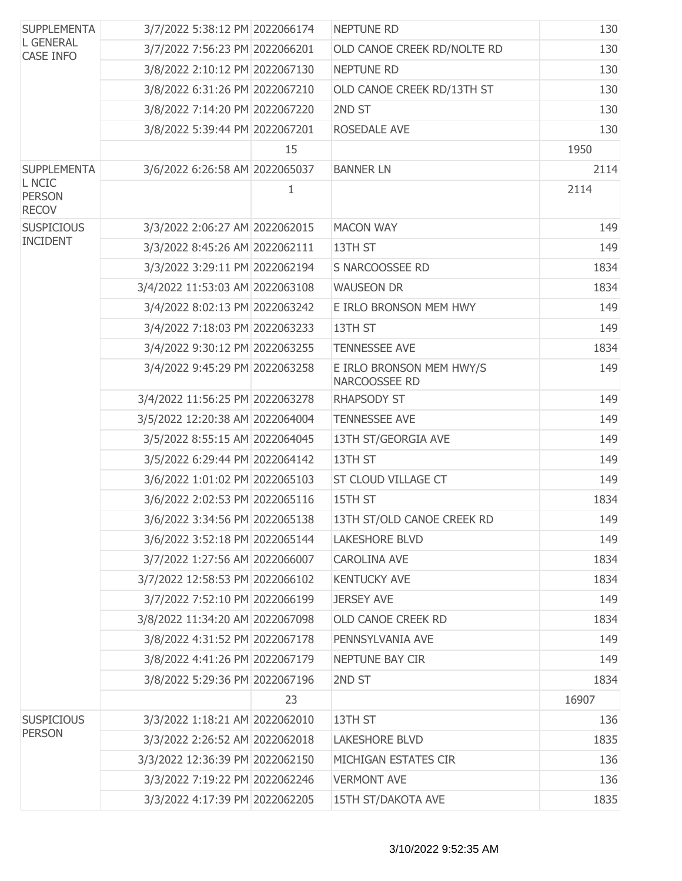| <b>SUPPLEMENTA</b><br><b>L GENERAL</b><br><b>CASE INFO</b> | 3/7/2022 5:38:12 PM 2022066174  |    | <b>NEPTUNE RD</b>                         | 130   |
|------------------------------------------------------------|---------------------------------|----|-------------------------------------------|-------|
|                                                            | 3/7/2022 7:56:23 PM 2022066201  |    | OLD CANOE CREEK RD/NOLTE RD               | 130   |
|                                                            | 3/8/2022 2:10:12 PM 2022067130  |    | <b>NEPTUNE RD</b>                         | 130   |
|                                                            | 3/8/2022 6:31:26 PM 2022067210  |    | OLD CANOE CREEK RD/13TH ST                | 130   |
|                                                            | 3/8/2022 7:14:20 PM 2022067220  |    | 2ND ST                                    | 130   |
|                                                            | 3/8/2022 5:39:44 PM 2022067201  |    | ROSEDALE AVE                              | 130   |
|                                                            |                                 | 15 |                                           | 1950  |
| <b>SUPPLEMENTA</b>                                         | 3/6/2022 6:26:58 AM 2022065037  |    | <b>BANNER LN</b>                          | 2114  |
| L NCIC<br><b>PERSON</b><br><b>RECOV</b>                    |                                 | 1  |                                           | 2114  |
| <b>SUSPICIOUS</b>                                          | 3/3/2022 2:06:27 AM 2022062015  |    | <b>MACON WAY</b>                          | 149   |
| <b>INCIDENT</b>                                            | 3/3/2022 8:45:26 AM 2022062111  |    | 13TH ST                                   | 149   |
|                                                            | 3/3/2022 3:29:11 PM 2022062194  |    | S NARCOOSSEE RD                           | 1834  |
|                                                            | 3/4/2022 11:53:03 AM 2022063108 |    | <b>WAUSEON DR</b>                         | 1834  |
|                                                            | 3/4/2022 8:02:13 PM 2022063242  |    | E IRLO BRONSON MEM HWY                    | 149   |
|                                                            | 3/4/2022 7:18:03 PM 2022063233  |    | 13TH ST                                   | 149   |
|                                                            | 3/4/2022 9:30:12 PM 2022063255  |    | <b>TENNESSEE AVE</b>                      | 1834  |
|                                                            | 3/4/2022 9:45:29 PM 2022063258  |    | E IRLO BRONSON MEM HWY/S<br>NARCOOSSEE RD | 149   |
|                                                            | 3/4/2022 11:56:25 PM 2022063278 |    | RHAPSODY ST                               | 149   |
|                                                            | 3/5/2022 12:20:38 AM 2022064004 |    | <b>TENNESSEE AVE</b>                      | 149   |
|                                                            | 3/5/2022 8:55:15 AM 2022064045  |    | 13TH ST/GEORGIA AVE                       | 149   |
|                                                            | 3/5/2022 6:29:44 PM 2022064142  |    | 13TH ST                                   | 149   |
|                                                            | 3/6/2022 1:01:02 PM 2022065103  |    | ST CLOUD VILLAGE CT                       | 149   |
|                                                            | 3/6/2022 2:02:53 PM 2022065116  |    | 15TH ST                                   | 1834  |
|                                                            | 3/6/2022 3:34:56 PM 2022065138  |    | 13TH ST/OLD CANOE CREEK RD                | 149   |
|                                                            | 3/6/2022 3:52:18 PM 2022065144  |    | <b>LAKESHORE BLVD</b>                     | 149   |
|                                                            | 3/7/2022 1:27:56 AM 2022066007  |    | <b>CAROLINA AVE</b>                       | 1834  |
|                                                            | 3/7/2022 12:58:53 PM 2022066102 |    | <b>KENTUCKY AVE</b>                       | 1834  |
|                                                            | 3/7/2022 7:52:10 PM 2022066199  |    | <b>JERSEY AVE</b>                         | 149   |
|                                                            | 3/8/2022 11:34:20 AM 2022067098 |    | OLD CANOE CREEK RD                        | 1834  |
|                                                            | 3/8/2022 4:31:52 PM 2022067178  |    | PENNSYLVANIA AVE                          | 149   |
|                                                            | 3/8/2022 4:41:26 PM 2022067179  |    | NEPTUNE BAY CIR                           | 149   |
|                                                            | 3/8/2022 5:29:36 PM 2022067196  |    | 2ND ST                                    | 1834  |
|                                                            |                                 | 23 |                                           | 16907 |
| <b>SUSPICIOUS</b>                                          | 3/3/2022 1:18:21 AM 2022062010  |    | 13TH ST                                   | 136   |
| <b>PERSON</b>                                              | 3/3/2022 2:26:52 AM 2022062018  |    | <b>LAKESHORE BLVD</b>                     | 1835  |
|                                                            | 3/3/2022 12:36:39 PM 2022062150 |    | MICHIGAN ESTATES CIR                      | 136   |
|                                                            | 3/3/2022 7:19:22 PM 2022062246  |    | <b>VERMONT AVE</b>                        | 136   |
|                                                            | 3/3/2022 4:17:39 PM 2022062205  |    | 15TH ST/DAKOTA AVE                        | 1835  |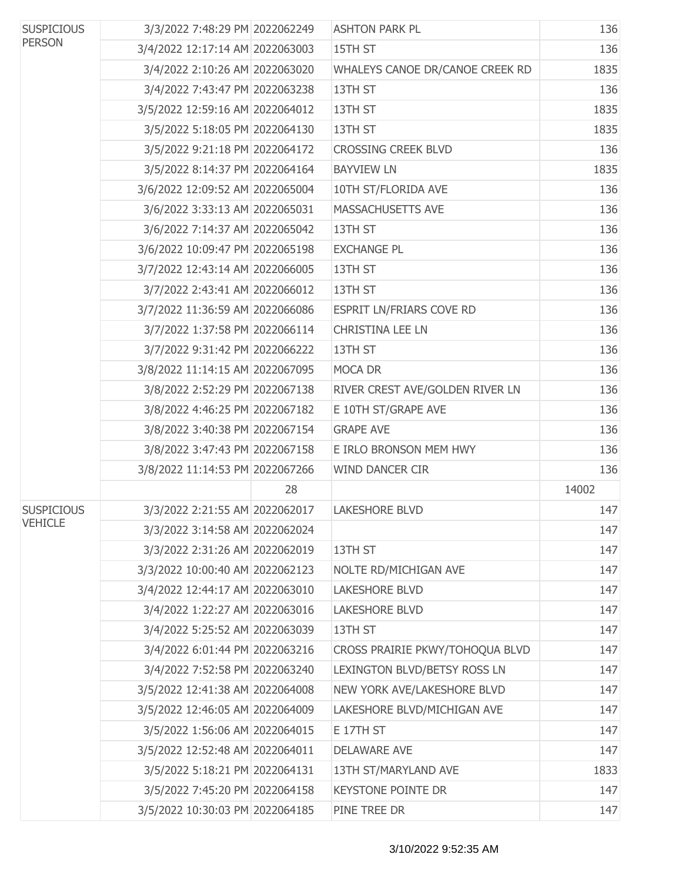| <b>SUSPICIOUS</b><br><b>PERSON</b> | 3/3/2022 7:48:29 PM 2022062249  |    | <b>ASHTON PARK PL</b>           | 136   |
|------------------------------------|---------------------------------|----|---------------------------------|-------|
|                                    | 3/4/2022 12:17:14 AM 2022063003 |    | 15TH ST                         | 136   |
|                                    | 3/4/2022 2:10:26 AM 2022063020  |    | WHALEYS CANOE DR/CANOE CREEK RD | 1835  |
|                                    | 3/4/2022 7:43:47 PM 2022063238  |    | 13TH ST                         | 136   |
|                                    | 3/5/2022 12:59:16 AM 2022064012 |    | 13TH ST                         | 1835  |
|                                    | 3/5/2022 5:18:05 PM 2022064130  |    | 13TH ST                         | 1835  |
|                                    | 3/5/2022 9:21:18 PM 2022064172  |    | <b>CROSSING CREEK BLVD</b>      | 136   |
|                                    | 3/5/2022 8:14:37 PM 2022064164  |    | <b>BAYVIEW LN</b>               | 1835  |
|                                    | 3/6/2022 12:09:52 AM 2022065004 |    | 10TH ST/FLORIDA AVE             | 136   |
|                                    | 3/6/2022 3:33:13 AM 2022065031  |    | <b>MASSACHUSETTS AVE</b>        | 136   |
|                                    | 3/6/2022 7:14:37 AM 2022065042  |    | 13TH ST                         | 136   |
|                                    | 3/6/2022 10:09:47 PM 2022065198 |    | <b>EXCHANGE PL</b>              | 136   |
|                                    | 3/7/2022 12:43:14 AM 2022066005 |    | 13TH ST                         | 136   |
|                                    | 3/7/2022 2:43:41 AM 2022066012  |    | 13TH ST                         | 136   |
|                                    | 3/7/2022 11:36:59 AM 2022066086 |    | ESPRIT LN/FRIARS COVE RD        | 136   |
|                                    | 3/7/2022 1:37:58 PM 2022066114  |    | CHRISTINA LEE LN                | 136   |
|                                    | 3/7/2022 9:31:42 PM 2022066222  |    | 13TH ST                         | 136   |
|                                    | 3/8/2022 11:14:15 AM 2022067095 |    | MOCA DR                         | 136   |
|                                    | 3/8/2022 2:52:29 PM 2022067138  |    | RIVER CREST AVE/GOLDEN RIVER LN | 136   |
|                                    | 3/8/2022 4:46:25 PM 2022067182  |    | E 10TH ST/GRAPE AVE             | 136   |
|                                    | 3/8/2022 3:40:38 PM 2022067154  |    | <b>GRAPE AVE</b>                | 136   |
|                                    | 3/8/2022 3:47:43 PM 2022067158  |    | E IRLO BRONSON MEM HWY          | 136   |
|                                    | 3/8/2022 11:14:53 PM 2022067266 |    | <b>WIND DANCER CIR</b>          | 136   |
|                                    |                                 | 28 |                                 | 14002 |
| <b>SUSPICIOUS</b>                  | 3/3/2022 2:21:55 AM 2022062017  |    | <b>LAKESHORE BLVD</b>           | 147   |
| <b>VEHICLE</b>                     | 3/3/2022 3:14:58 AM 2022062024  |    |                                 | 147   |
|                                    | 3/3/2022 2:31:26 AM 2022062019  |    | 13TH ST                         | 147   |
|                                    | 3/3/2022 10:00:40 AM 2022062123 |    | NOLTE RD/MICHIGAN AVE           | 147   |
|                                    | 3/4/2022 12:44:17 AM 2022063010 |    | <b>LAKESHORE BLVD</b>           | 147   |
|                                    | 3/4/2022 1:22:27 AM 2022063016  |    | LAKESHORE BLVD                  | 147   |
|                                    | 3/4/2022 5:25:52 AM 2022063039  |    | 13TH ST                         | 147   |
|                                    | 3/4/2022 6:01:44 PM 2022063216  |    | CROSS PRAIRIE PKWY/TOHOQUA BLVD | 147   |
|                                    | 3/4/2022 7:52:58 PM 2022063240  |    | LEXINGTON BLVD/BETSY ROSS LN    | 147   |
|                                    | 3/5/2022 12:41:38 AM 2022064008 |    | NEW YORK AVE/LAKESHORE BLVD     | 147   |
|                                    | 3/5/2022 12:46:05 AM 2022064009 |    | LAKESHORE BLVD/MICHIGAN AVE     | 147   |
|                                    | 3/5/2022 1:56:06 AM 2022064015  |    | E 17TH ST                       | 147   |
|                                    | 3/5/2022 12:52:48 AM 2022064011 |    | <b>DELAWARE AVE</b>             | 147   |
|                                    | 3/5/2022 5:18:21 PM 2022064131  |    | 13TH ST/MARYLAND AVE            | 1833  |
|                                    | 3/5/2022 7:45:20 PM 2022064158  |    | <b>KEYSTONE POINTE DR</b>       | 147   |
|                                    | 3/5/2022 10:30:03 PM 2022064185 |    | PINE TREE DR                    | 147   |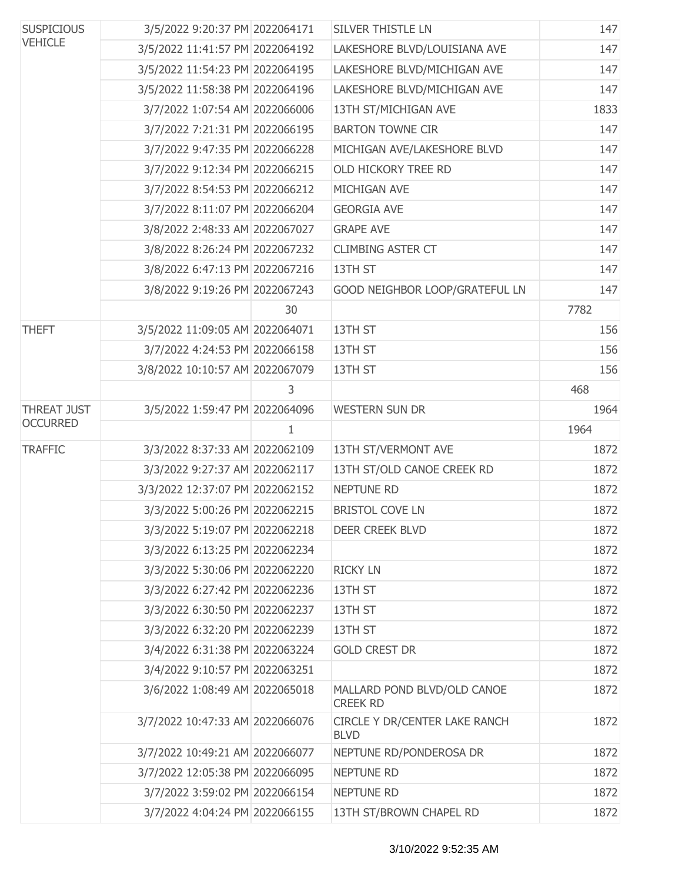| <b>SUSPICIOUS</b><br><b>VEHICLE</b> | 3/5/2022 9:20:37 PM 2022064171  |    | SILVER THISTLE LN                              | 147  |
|-------------------------------------|---------------------------------|----|------------------------------------------------|------|
|                                     | 3/5/2022 11:41:57 PM 2022064192 |    | LAKESHORE BLVD/LOUISIANA AVE                   | 147  |
|                                     | 3/5/2022 11:54:23 PM 2022064195 |    | LAKESHORE BLVD/MICHIGAN AVE                    | 147  |
|                                     | 3/5/2022 11:58:38 PM 2022064196 |    | LAKESHORE BLVD/MICHIGAN AVE                    | 147  |
|                                     | 3/7/2022 1:07:54 AM 2022066006  |    | 13TH ST/MICHIGAN AVE                           | 1833 |
|                                     | 3/7/2022 7:21:31 PM 2022066195  |    | <b>BARTON TOWNE CIR</b>                        | 147  |
|                                     | 3/7/2022 9:47:35 PM 2022066228  |    | MICHIGAN AVE/LAKESHORE BLVD                    | 147  |
|                                     | 3/7/2022 9:12:34 PM 2022066215  |    | OLD HICKORY TREE RD                            | 147  |
|                                     | 3/7/2022 8:54:53 PM 2022066212  |    | MICHIGAN AVE                                   | 147  |
|                                     | 3/7/2022 8:11:07 PM 2022066204  |    | <b>GEORGIA AVE</b>                             | 147  |
|                                     | 3/8/2022 2:48:33 AM 2022067027  |    | <b>GRAPE AVE</b>                               | 147  |
|                                     | 3/8/2022 8:26:24 PM 2022067232  |    | <b>CLIMBING ASTER CT</b>                       | 147  |
|                                     | 3/8/2022 6:47:13 PM 2022067216  |    | 13TH ST                                        | 147  |
|                                     | 3/8/2022 9:19:26 PM 2022067243  |    | GOOD NEIGHBOR LOOP/GRATEFUL LN                 | 147  |
|                                     |                                 | 30 |                                                | 7782 |
| <b>THEFT</b>                        | 3/5/2022 11:09:05 AM 2022064071 |    | 13TH ST                                        | 156  |
|                                     | 3/7/2022 4:24:53 PM 2022066158  |    | 13TH ST                                        | 156  |
|                                     | 3/8/2022 10:10:57 AM 2022067079 |    | 13TH ST                                        | 156  |
|                                     |                                 | 3  |                                                | 468  |
| <b>THREAT JUST</b>                  | 3/5/2022 1:59:47 PM 2022064096  |    | <b>WESTERN SUN DR</b>                          | 1964 |
| <b>OCCURRED</b>                     |                                 | 1  |                                                | 1964 |
| <b>TRAFFIC</b>                      | 3/3/2022 8:37:33 AM 2022062109  |    | 13TH ST/VERMONT AVE                            | 1872 |
|                                     | 3/3/2022 9:27:37 AM 2022062117  |    | 13TH ST/OLD CANOE CREEK RD                     | 1872 |
|                                     | 3/3/2022 12:37:07 PM 2022062152 |    | <b>NEPTUNE RD</b>                              | 1872 |
|                                     | 3/3/2022 5:00:26 PM 2022062215  |    | <b>BRISTOL COVE LN</b>                         | 1872 |
|                                     | 3/3/2022 5:19:07 PM 2022062218  |    | DEER CREEK BLVD                                | 1872 |
|                                     | 3/3/2022 6:13:25 PM 2022062234  |    |                                                | 1872 |
|                                     | 3/3/2022 5:30:06 PM 2022062220  |    | <b>RICKY LN</b>                                | 1872 |
|                                     | 3/3/2022 6:27:42 PM 2022062236  |    | 13TH ST                                        | 1872 |
|                                     | 3/3/2022 6:30:50 PM 2022062237  |    | 13TH ST                                        | 1872 |
|                                     | 3/3/2022 6:32:20 PM 2022062239  |    | 13TH ST                                        | 1872 |
|                                     | 3/4/2022 6:31:38 PM 2022063224  |    | <b>GOLD CREST DR</b>                           | 1872 |
|                                     | 3/4/2022 9:10:57 PM 2022063251  |    |                                                | 1872 |
|                                     | 3/6/2022 1:08:49 AM 2022065018  |    | MALLARD POND BLVD/OLD CANOE<br><b>CREEK RD</b> | 1872 |
|                                     | 3/7/2022 10:47:33 AM 2022066076 |    | CIRCLE Y DR/CENTER LAKE RANCH<br><b>BLVD</b>   | 1872 |
|                                     | 3/7/2022 10:49:21 AM 2022066077 |    | NEPTUNE RD/PONDEROSA DR                        | 1872 |
|                                     | 3/7/2022 12:05:38 PM 2022066095 |    | <b>NEPTUNE RD</b>                              | 1872 |
|                                     | 3/7/2022 3:59:02 PM 2022066154  |    | <b>NEPTUNE RD</b>                              | 1872 |
|                                     | 3/7/2022 4:04:24 PM 2022066155  |    | 13TH ST/BROWN CHAPEL RD                        | 1872 |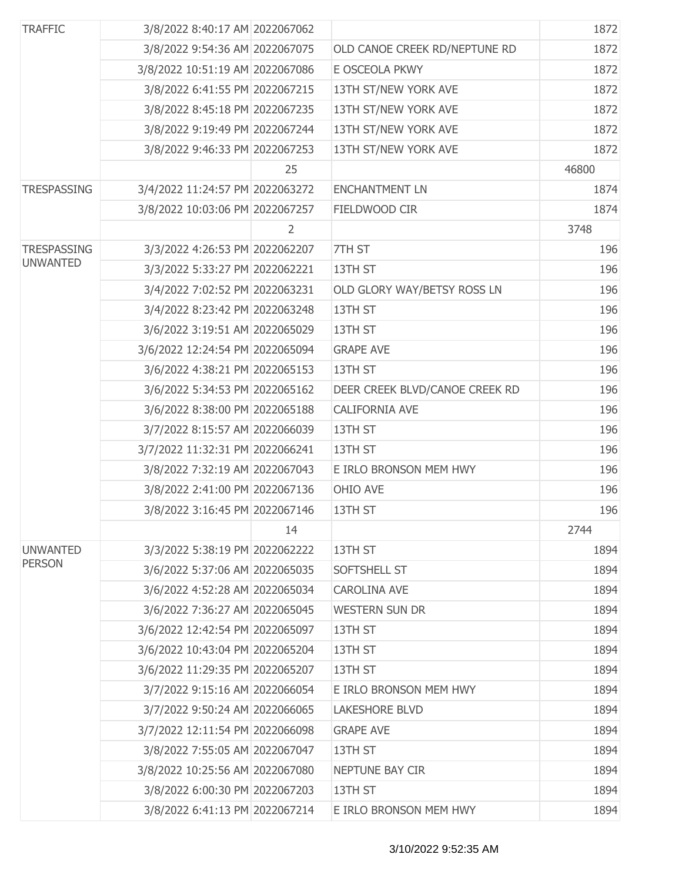| <b>TRAFFIC</b>     | 3/8/2022 8:40:17 AM 2022067062  |    |                                | 1872  |
|--------------------|---------------------------------|----|--------------------------------|-------|
|                    | 3/8/2022 9:54:36 AM 2022067075  |    | OLD CANOE CREEK RD/NEPTUNE RD  | 1872  |
|                    | 3/8/2022 10:51:19 AM 2022067086 |    | E OSCEOLA PKWY                 | 1872  |
|                    | 3/8/2022 6:41:55 PM 2022067215  |    | 13TH ST/NEW YORK AVE           | 1872  |
|                    | 3/8/2022 8:45:18 PM 2022067235  |    | 13TH ST/NEW YORK AVE           | 1872  |
|                    | 3/8/2022 9:19:49 PM 2022067244  |    | 13TH ST/NEW YORK AVE           | 1872  |
|                    | 3/8/2022 9:46:33 PM 2022067253  |    | 13TH ST/NEW YORK AVE           | 1872  |
|                    |                                 | 25 |                                | 46800 |
| <b>TRESPASSING</b> | 3/4/2022 11:24:57 PM 2022063272 |    | ENCHANTMENT LN                 | 1874  |
|                    | 3/8/2022 10:03:06 PM 2022067257 |    | FIELDWOOD CIR                  | 1874  |
|                    |                                 | 2  |                                | 3748  |
| <b>TRESPASSING</b> | 3/3/2022 4:26:53 PM 2022062207  |    | 7TH ST                         | 196   |
| <b>UNWANTED</b>    | 3/3/2022 5:33:27 PM 2022062221  |    | 13TH ST                        | 196   |
|                    | 3/4/2022 7:02:52 PM 2022063231  |    | OLD GLORY WAY/BETSY ROSS LN    | 196   |
|                    | 3/4/2022 8:23:42 PM 2022063248  |    | 13TH ST                        | 196   |
|                    | 3/6/2022 3:19:51 AM 2022065029  |    | 13TH ST                        | 196   |
|                    | 3/6/2022 12:24:54 PM 2022065094 |    | <b>GRAPE AVE</b>               | 196   |
|                    | 3/6/2022 4:38:21 PM 2022065153  |    | 13TH ST                        | 196   |
|                    | 3/6/2022 5:34:53 PM 2022065162  |    | DEER CREEK BLVD/CANOE CREEK RD | 196   |
|                    | 3/6/2022 8:38:00 PM 2022065188  |    | CALIFORNIA AVE                 | 196   |
|                    | 3/7/2022 8:15:57 AM 2022066039  |    | 13TH ST                        | 196   |
|                    | 3/7/2022 11:32:31 PM 2022066241 |    | 13TH ST                        | 196   |
|                    | 3/8/2022 7:32:19 AM 2022067043  |    | E IRLO BRONSON MEM HWY         | 196   |
|                    | 3/8/2022 2:41:00 PM 2022067136  |    | OHIO AVE                       | 196   |
|                    | 3/8/2022 3:16:45 PM 2022067146  |    | 13TH ST                        | 196   |
|                    |                                 | 14 |                                | 2744  |
| <b>UNWANTED</b>    | 3/3/2022 5:38:19 PM 2022062222  |    | 13TH ST                        | 1894  |
| <b>PERSON</b>      | 3/6/2022 5:37:06 AM 2022065035  |    | SOFTSHELL ST                   | 1894  |
|                    | 3/6/2022 4:52:28 AM 2022065034  |    | <b>CAROLINA AVE</b>            | 1894  |
|                    | 3/6/2022 7:36:27 AM 2022065045  |    | <b>WESTERN SUN DR</b>          | 1894  |
|                    | 3/6/2022 12:42:54 PM 2022065097 |    | 13TH ST                        | 1894  |
|                    | 3/6/2022 10:43:04 PM 2022065204 |    | 13TH ST                        | 1894  |
|                    | 3/6/2022 11:29:35 PM 2022065207 |    | 13TH ST                        | 1894  |
|                    | 3/7/2022 9:15:16 AM 2022066054  |    | E IRLO BRONSON MEM HWY         | 1894  |
|                    | 3/7/2022 9:50:24 AM 2022066065  |    | <b>LAKESHORE BLVD</b>          | 1894  |
|                    | 3/7/2022 12:11:54 PM 2022066098 |    | <b>GRAPE AVE</b>               | 1894  |
|                    | 3/8/2022 7:55:05 AM 2022067047  |    | 13TH ST                        | 1894  |
|                    | 3/8/2022 10:25:56 AM 2022067080 |    | NEPTUNE BAY CIR                | 1894  |
|                    | 3/8/2022 6:00:30 PM 2022067203  |    | 13TH ST                        | 1894  |
|                    | 3/8/2022 6:41:13 PM 2022067214  |    | E IRLO BRONSON MEM HWY         | 1894  |